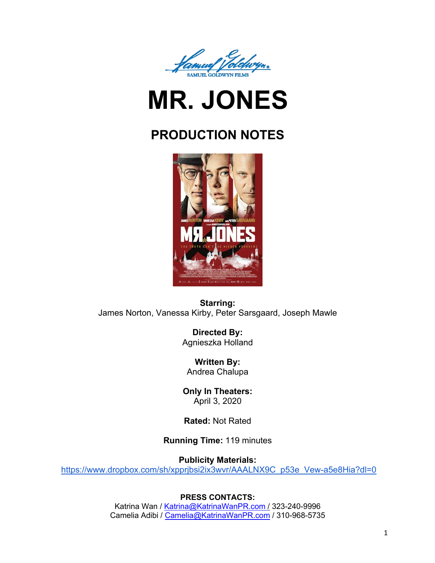

# **MR. JONES**

# **PRODUCTION NOTES**



**Starring:** James Norton, Vanessa Kirby, Peter Sarsgaard, Joseph Mawle

> **Directed By:**  Agnieszka Holland

**Written By:** Andrea Chalupa

**Only In Theaters:**  April 3, 2020

**Rated:** Not Rated

**Running Time:** 119 minutes

**Publicity Materials:**

https://www.dropbox.com/sh/xpprjbsi2ix3wvr/AAALNX9C\_p53e\_Vew-a5e8Hia?dl=0

# **PRESS CONTACTS:**

Katrina Wan / Katrina@KatrinaWanPR.com / 323-240-9996 Camelia Adibi / Camelia@KatrinaWanPR.com / 310-968-5735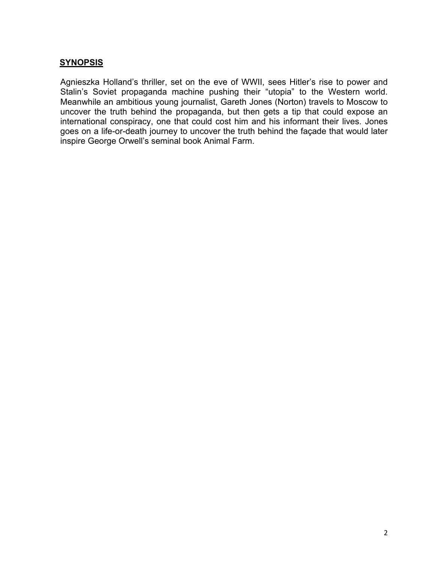# **SYNOPSIS**

Agnieszka Holland's thriller, set on the eve of WWII, sees Hitler's rise to power and Stalin's Soviet propaganda machine pushing their "utopia" to the Western world. Meanwhile an ambitious young journalist, Gareth Jones (Norton) travels to Moscow to uncover the truth behind the propaganda, but then gets a tip that could expose an international conspiracy, one that could cost him and his informant their lives. Jones goes on a life-or-death journey to uncover the truth behind the façade that would later inspire George Orwell's seminal book Animal Farm.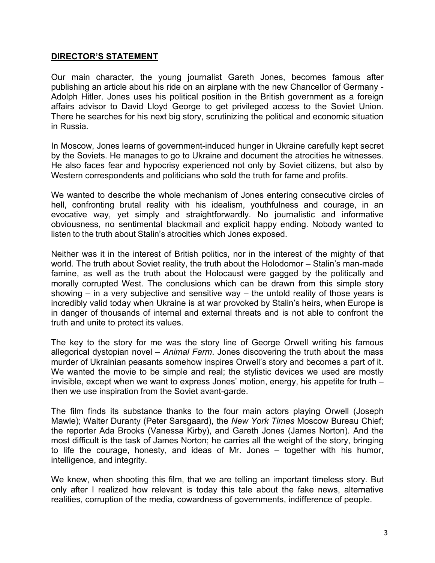# **DIRECTOR'S STATEMENT**

Our main character, the young journalist Gareth Jones, becomes famous after publishing an article about his ride on an airplane with the new Chancellor of Germany - Adolph Hitler. Jones uses his political position in the British government as a foreign affairs advisor to David Lloyd George to get privileged access to the Soviet Union. There he searches for his next big story, scrutinizing the political and economic situation in Russia.

In Moscow, Jones learns of government-induced hunger in Ukraine carefully kept secret by the Soviets. He manages to go to Ukraine and document the atrocities he witnesses. He also faces fear and hypocrisy experienced not only by Soviet citizens, but also by Western correspondents and politicians who sold the truth for fame and profits.

We wanted to describe the whole mechanism of Jones entering consecutive circles of hell, confronting brutal reality with his idealism, youthfulness and courage, in an evocative way, yet simply and straightforwardly. No journalistic and informative obviousness, no sentimental blackmail and explicit happy ending. Nobody wanted to listen to the truth about Stalin's atrocities which Jones exposed.

Neither was it in the interest of British politics, nor in the interest of the mighty of that world. The truth about Soviet reality, the truth about the Holodomor – Stalin's man-made famine, as well as the truth about the Holocaust were gagged by the politically and morally corrupted West. The conclusions which can be drawn from this simple story showing  $-$  in a very subjective and sensitive way  $-$  the untold reality of those years is incredibly valid today when Ukraine is at war provoked by Stalin's heirs, when Europe is in danger of thousands of internal and external threats and is not able to confront the truth and unite to protect its values.

The key to the story for me was the story line of George Orwell writing his famous allegorical dystopian novel – *Animal Farm*. Jones discovering the truth about the mass murder of Ukrainian peasants somehow inspires Orwell's story and becomes a part of it. We wanted the movie to be simple and real; the stylistic devices we used are mostly invisible, except when we want to express Jones' motion, energy, his appetite for truth – then we use inspiration from the Soviet avant-garde.

The film finds its substance thanks to the four main actors playing Orwell (Joseph Mawle); Walter Duranty (Peter Sarsgaard), the *New York Times* Moscow Bureau Chief; the reporter Ada Brooks (Vanessa Kirby), and Gareth Jones (James Norton). And the most difficult is the task of James Norton; he carries all the weight of the story, bringing to life the courage, honesty, and ideas of Mr. Jones – together with his humor, intelligence, and integrity.

We knew, when shooting this film, that we are telling an important timeless story. But only after I realized how relevant is today this tale about the fake news, alternative realities, corruption of the media, cowardness of governments, indifference of people.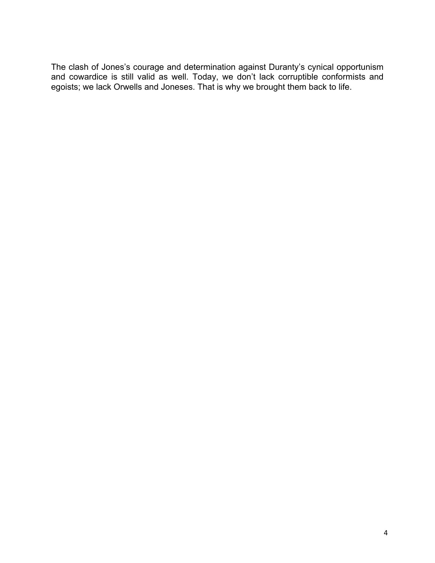The clash of Jones's courage and determination against Duranty's cynical opportunism and cowardice is still valid as well. Today, we don't lack corruptible conformists and egoists; we lack Orwells and Joneses. That is why we brought them back to life.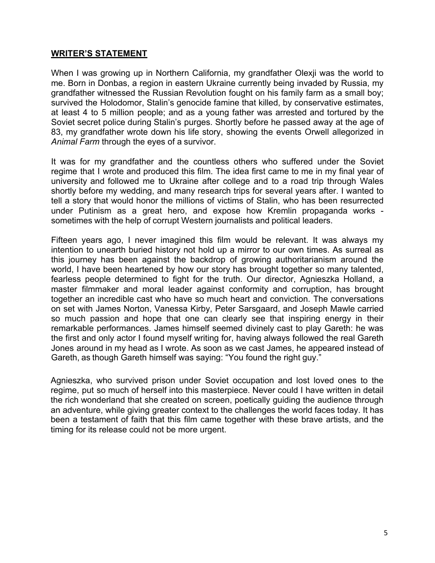# **WRITER'S STATEMENT**

When I was growing up in Northern California, my grandfather Olexji was the world to me. Born in Donbas, a region in eastern Ukraine currently being invaded by Russia, my grandfather witnessed the Russian Revolution fought on his family farm as a small boy; survived the Holodomor, Stalin's genocide famine that killed, by conservative estimates, at least 4 to 5 million people; and as a young father was arrested and tortured by the Soviet secret police during Stalin's purges. Shortly before he passed away at the age of 83, my grandfather wrote down his life story, showing the events Orwell allegorized in *Animal Farm* through the eyes of a survivor.

It was for my grandfather and the countless others who suffered under the Soviet regime that I wrote and produced this film. The idea first came to me in my final year of university and followed me to Ukraine after college and to a road trip through Wales shortly before my wedding, and many research trips for several years after. I wanted to tell a story that would honor the millions of victims of Stalin, who has been resurrected under Putinism as a great hero, and expose how Kremlin propaganda works sometimes with the help of corrupt Western journalists and political leaders.

Fifteen years ago, I never imagined this film would be relevant. It was always my intention to unearth buried history not hold up a mirror to our own times. As surreal as this journey has been against the backdrop of growing authoritarianism around the world, I have been heartened by how our story has brought together so many talented, fearless people determined to fight for the truth. Our director, Agnieszka Holland, a master filmmaker and moral leader against conformity and corruption, has brought together an incredible cast who have so much heart and conviction. The conversations on set with James Norton, Vanessa Kirby, Peter Sarsgaard, and Joseph Mawle carried so much passion and hope that one can clearly see that inspiring energy in their remarkable performances. James himself seemed divinely cast to play Gareth: he was the first and only actor I found myself writing for, having always followed the real Gareth Jones around in my head as I wrote. As soon as we cast James, he appeared instead of Gareth, as though Gareth himself was saying: "You found the right guy."

Agnieszka, who survived prison under Soviet occupation and lost loved ones to the regime, put so much of herself into this masterpiece. Never could I have written in detail the rich wonderland that she created on screen, poetically guiding the audience through an adventure, while giving greater context to the challenges the world faces today. It has been a testament of faith that this film came together with these brave artists, and the timing for its release could not be more urgent.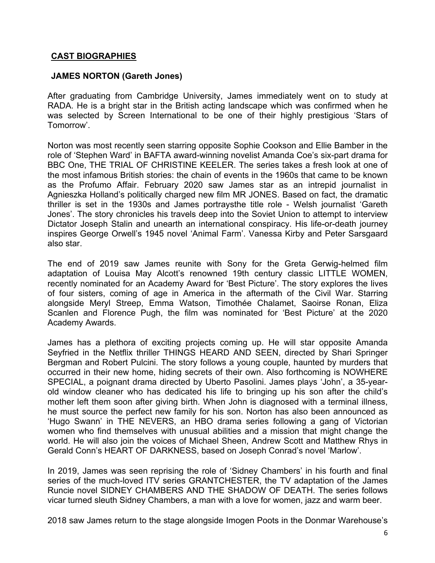# **CAST BIOGRAPHIES**

# **JAMES NORTON (Gareth Jones)**

After graduating from Cambridge University, James immediately went on to study at RADA. He is a bright star in the British acting landscape which was confirmed when he was selected by Screen International to be one of their highly prestigious 'Stars of Tomorrow'.

Norton was most recently seen starring opposite Sophie Cookson and Ellie Bamber in the role of 'Stephen Ward' in BAFTA award-winning novelist Amanda Coe's six-part drama for BBC One, THE TRIAL OF CHRISTINE KEELER. The series takes a fresh look at one of the most infamous British stories: the chain of events in the 1960s that came to be known as the Profumo Affair. February 2020 saw James star as an intrepid journalist in Agnieszka Holland's politically charged new film MR JONES. Based on fact, the dramatic thriller is set in the 1930s and James portraysthe title role - Welsh journalist 'Gareth Jones'. The story chronicles his travels deep into the Soviet Union to attempt to interview Dictator Joseph Stalin and unearth an international conspiracy. His life-or-death journey inspires George Orwell's 1945 novel 'Animal Farm'. Vanessa Kirby and Peter Sarsgaard also star.

The end of 2019 saw James reunite with Sony for the Greta Gerwig-helmed film adaptation of Louisa May Alcott's renowned 19th century classic LITTLE WOMEN, recently nominated for an Academy Award for 'Best Picture'. The story explores the lives of four sisters, coming of age in America in the aftermath of the Civil War. Starring alongside Meryl Streep, Emma Watson, Timothée Chalamet, Saoirse Ronan, Eliza Scanlen and Florence Pugh, the film was nominated for 'Best Picture' at the 2020 Academy Awards.

James has a plethora of exciting projects coming up. He will star opposite Amanda Seyfried in the Netflix thriller THINGS HEARD AND SEEN, directed by Shari Springer Bergman and Robert Pulcini. The story follows a young couple, haunted by murders that occurred in their new home, hiding secrets of their own. Also forthcoming is NOWHERE SPECIAL, a poignant drama directed by Uberto Pasolini. James plays 'John', a 35-yearold window cleaner who has dedicated his life to bringing up his son after the child's mother left them soon after giving birth. When John is diagnosed with a terminal illness, he must source the perfect new family for his son. Norton has also been announced as 'Hugo Swann' in THE NEVERS, an HBO drama series following a gang of Victorian women who find themselves with unusual abilities and a mission that might change the world. He will also join the voices of Michael Sheen, Andrew Scott and Matthew Rhys in Gerald Conn's HEART OF DARKNESS, based on Joseph Conrad's novel 'Marlow'.

In 2019, James was seen reprising the role of 'Sidney Chambers' in his fourth and final series of the much-loved ITV series GRANTCHESTER, the TV adaptation of the James Runcie novel SIDNEY CHAMBERS AND THE SHADOW OF DEATH. The series follows vicar turned sleuth Sidney Chambers, a man with a love for women, jazz and warm beer.

2018 saw James return to the stage alongside Imogen Poots in the Donmar Warehouse's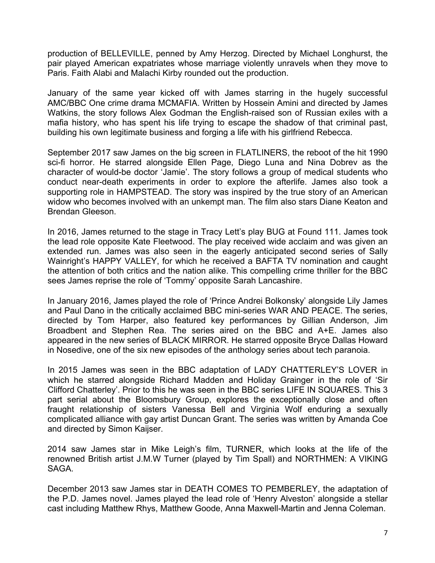production of BELLEVILLE, penned by Amy Herzog. Directed by Michael Longhurst, the pair played American expatriates whose marriage violently unravels when they move to Paris. Faith Alabi and Malachi Kirby rounded out the production.

January of the same year kicked off with James starring in the hugely successful AMC/BBC One crime drama MCMAFIA. Written by Hossein Amini and directed by James Watkins, the story follows Alex Godman the English-raised son of Russian exiles with a mafia history, who has spent his life trying to escape the shadow of that criminal past, building his own legitimate business and forging a life with his girlfriend Rebecca.

September 2017 saw James on the big screen in FLATLINERS, the reboot of the hit 1990 sci-fi horror. He starred alongside Ellen Page, Diego Luna and Nina Dobrev as the character of would-be doctor 'Jamie'. The story follows a group of medical students who conduct near-death experiments in order to explore the afterlife. James also took a supporting role in HAMPSTEAD. The story was inspired by the true story of an American widow who becomes involved with an unkempt man. The film also stars Diane Keaton and Brendan Gleeson.

In 2016, James returned to the stage in Tracy Lett's play BUG at Found 111. James took the lead role opposite Kate Fleetwood. The play received wide acclaim and was given an extended run. James was also seen in the eagerly anticipated second series of Sally Wainright's HAPPY VALLEY, for which he received a BAFTA TV nomination and caught the attention of both critics and the nation alike. This compelling crime thriller for the BBC sees James reprise the role of 'Tommy' opposite Sarah Lancashire.

In January 2016, James played the role of 'Prince Andrei Bolkonsky' alongside Lily James and Paul Dano in the critically acclaimed BBC mini-series WAR AND PEACE. The series, directed by Tom Harper, also featured key performances by Gillian Anderson, Jim Broadbent and Stephen Rea. The series aired on the BBC and A+E. James also appeared in the new series of BLACK MIRROR. He starred opposite Bryce Dallas Howard in Nosedive, one of the six new episodes of the anthology series about tech paranoia.

In 2015 James was seen in the BBC adaptation of LADY CHATTERLEY'S LOVER in which he starred alongside Richard Madden and Holiday Grainger in the role of 'Sir Clifford Chatterley'. Prior to this he was seen in the BBC series LIFE IN SQUARES. This 3 part serial about the Bloomsbury Group, explores the exceptionally close and often fraught relationship of sisters Vanessa Bell and Virginia Wolf enduring a sexually complicated alliance with gay artist Duncan Grant. The series was written by Amanda Coe and directed by Simon Kaijser.

2014 saw James star in Mike Leigh's film, TURNER, which looks at the life of the renowned British artist J.M.W Turner (played by Tim Spall) and NORTHMEN: A VIKING SAGA.

December 2013 saw James star in DEATH COMES TO PEMBERLEY, the adaptation of the P.D. James novel. James played the lead role of 'Henry Alveston' alongside a stellar cast including Matthew Rhys, Matthew Goode, Anna Maxwell-Martin and Jenna Coleman.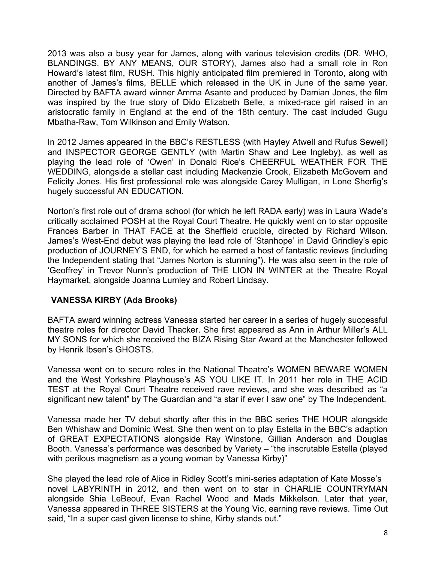2013 was also a busy year for James, along with various television credits (DR. WHO, BLANDINGS, BY ANY MEANS, OUR STORY), James also had a small role in Ron Howard's latest film, RUSH. This highly anticipated film premiered in Toronto, along with another of James's films, BELLE which released in the UK in June of the same year. Directed by BAFTA award winner Amma Asante and produced by Damian Jones, the film was inspired by the true story of Dido Elizabeth Belle, a mixed-race girl raised in an aristocratic family in England at the end of the 18th century. The cast included Gugu Mbatha-Raw, Tom Wilkinson and Emily Watson.

In 2012 James appeared in the BBC's RESTLESS (with Hayley Atwell and Rufus Sewell) and INSPECTOR GEORGE GENTLY (with Martin Shaw and Lee Ingleby), as well as playing the lead role of 'Owen' in Donald Rice's CHEERFUL WEATHER FOR THE WEDDING, alongside a stellar cast including Mackenzie Crook, Elizabeth McGovern and Felicity Jones. His first professional role was alongside Carey Mulligan, in Lone Sherfig's hugely successful AN EDUCATION.

Norton's first role out of drama school (for which he left RADA early) was in Laura Wade's critically acclaimed POSH at the Royal Court Theatre. He quickly went on to star opposite Frances Barber in THAT FACE at the Sheffield crucible, directed by Richard Wilson. James's West-End debut was playing the lead role of 'Stanhope' in David Grindley's epic production of JOURNEY'S END, for which he earned a host of fantastic reviews (including the Independent stating that "James Norton is stunning"). He was also seen in the role of 'Geoffrey' in Trevor Nunn's production of THE LION IN WINTER at the Theatre Royal Haymarket, alongside Joanna Lumley and Robert Lindsay.

# **VANESSA KIRBY (Ada Brooks)**

BAFTA award winning actress Vanessa started her career in a series of hugely successful theatre roles for director David Thacker. She first appeared as Ann in Arthur Miller's ALL MY SONS for which she received the BIZA Rising Star Award at the Manchester followed by Henrik Ibsen's GHOSTS.

Vanessa went on to secure roles in the National Theatre's WOMEN BEWARE WOMEN and the West Yorkshire Playhouse's AS YOU LIKE IT. In 2011 her role in THE ACID TEST at the Royal Court Theatre received rave reviews, and she was described as "a significant new talent" by The Guardian and "a star if ever I saw one" by The Independent.

Vanessa made her TV debut shortly after this in the BBC series THE HOUR alongside Ben Whishaw and Dominic West. She then went on to play Estella in the BBC's adaption of GREAT EXPECTATIONS alongside Ray Winstone, Gillian Anderson and Douglas Booth. Vanessa's performance was described by Variety – "the inscrutable Estella (played with perilous magnetism as a young woman by Vanessa Kirby)"

She played the lead role of Alice in Ridley Scott's mini-series adaptation of Kate Mosse's novel LABYRINTH in 2012, and then went on to star in CHARLIE COUNTRYMAN alongside Shia LeBeouf, Evan Rachel Wood and Mads Mikkelson. Later that year, Vanessa appeared in THREE SISTERS at the Young Vic, earning rave reviews. Time Out said, "In a super cast given license to shine, Kirby stands out."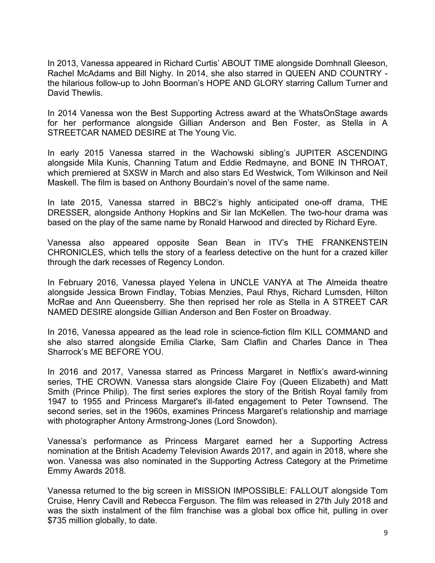In 2013, Vanessa appeared in Richard Curtis' ABOUT TIME alongside Domhnall Gleeson, Rachel McAdams and Bill Nighy. In 2014, she also starred in QUEEN AND COUNTRY the hilarious follow-up to John Boorman's HOPE AND GLORY starring Callum Turner and David Thewlis.

In 2014 Vanessa won the Best Supporting Actress award at the WhatsOnStage awards for her performance alongside Gillian Anderson and Ben Foster, as Stella in A STREETCAR NAMED DESIRE at The Young Vic.

In early 2015 Vanessa starred in the Wachowski sibling's JUPITER ASCENDING alongside Mila Kunis, Channing Tatum and Eddie Redmayne, and BONE IN THROAT, which premiered at SXSW in March and also stars Ed Westwick, Tom Wilkinson and Neil Maskell. The film is based on Anthony Bourdain's novel of the same name.

In late 2015, Vanessa starred in BBC2's highly anticipated one-off drama, THE DRESSER, alongside Anthony Hopkins and Sir Ian McKellen. The two-hour drama was based on the play of the same name by Ronald Harwood and directed by Richard Eyre.

Vanessa also appeared opposite Sean Bean in ITV's THE FRANKENSTEIN CHRONICLES, which tells the story of a fearless detective on the hunt for a crazed killer through the dark recesses of Regency London.

In February 2016, Vanessa played Yelena in UNCLE VANYA at The Almeida theatre alongside Jessica Brown Findlay, Tobias Menzies, Paul Rhys, Richard Lumsden, Hilton McRae and Ann Queensberry. She then reprised her role as Stella in A STREET CAR NAMED DESIRE alongside Gillian Anderson and Ben Foster on Broadway.

In 2016, Vanessa appeared as the lead role in science-fiction film KILL COMMAND and she also starred alongside Emilia Clarke, Sam Claflin and Charles Dance in Thea Sharrock's ME BEFORE YOU.

In 2016 and 2017, Vanessa starred as Princess Margaret in Netflix's award-winning series, THE CROWN. Vanessa stars alongside Claire Foy (Queen Elizabeth) and Matt Smith (Prince Philip). The first series explores the story of the British Royal family from 1947 to 1955 and Princess Margaret's ill-fated engagement to Peter Townsend. The second series, set in the 1960s, examines Princess Margaret's relationship and marriage with photographer Antony Armstrong-Jones (Lord Snowdon).

Vanessa's performance as Princess Margaret earned her a Supporting Actress nomination at the British Academy Television Awards 2017, and again in 2018, where she won. Vanessa was also nominated in the Supporting Actress Category at the Primetime Emmy Awards 2018.

Vanessa returned to the big screen in MISSION IMPOSSIBLE: FALLOUT alongside Tom Cruise, Henry Cavill and Rebecca Ferguson. The film was released in 27th July 2018 and was the sixth instalment of the film franchise was a global box office hit, pulling in over \$735 million globally, to date.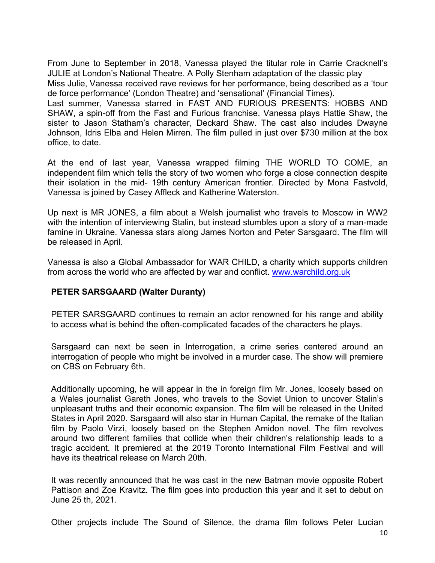From June to September in 2018, Vanessa played the titular role in Carrie Cracknell's JULIE at London's National Theatre. A Polly Stenham adaptation of the classic play Miss Julie, Vanessa received rave reviews for her performance, being described as a 'tour de force performance' (London Theatre) and 'sensational' (Financial Times). Last summer, Vanessa starred in FAST AND FURIOUS PRESENTS: HOBBS AND SHAW, a spin-off from the Fast and Furious franchise. Vanessa plays Hattie Shaw, the sister to Jason Statham's character, Deckard Shaw. The cast also includes Dwayne Johnson, Idris Elba and Helen Mirren. The film pulled in just over \$730 million at the box office, to date.

At the end of last year, Vanessa wrapped filming THE WORLD TO COME, an independent film which tells the story of two women who forge a close connection despite their isolation in the mid- 19th century American frontier. Directed by Mona Fastvold, Vanessa is joined by Casey Affleck and Katherine Waterston.

Up next is MR JONES, a film about a Welsh journalist who travels to Moscow in WW2 with the intention of interviewing Stalin, but instead stumbles upon a story of a man-made famine in Ukraine. Vanessa stars along James Norton and Peter Sarsgaard. The film will be released in April.

Vanessa is also a Global Ambassador for WAR CHILD, a charity which supports children from across the world who are affected by war and conflict. www.warchild.org.uk

# **PETER SARSGAARD (Walter Duranty)**

PETER SARSGAARD continues to remain an actor renowned for his range and ability to access what is behind the often-complicated facades of the characters he plays.

Sarsgaard can next be seen in Interrogation, a crime series centered around an interrogation of people who might be involved in a murder case. The show will premiere on CBS on February 6th.

Additionally upcoming, he will appear in the in foreign film Mr. Jones, loosely based on a Wales journalist Gareth Jones, who travels to the Soviet Union to uncover Stalin's unpleasant truths and their economic expansion. The film will be released in the United States in April 2020. Sarsgaard will also star in Human Capital, the remake of the Italian film by Paolo Virzì, loosely based on the Stephen Amidon novel. The film revolves around two different families that collide when their children's relationship leads to a tragic accident. It premiered at the 2019 Toronto International Film Festival and will have its theatrical release on March 20th.

It was recently announced that he was cast in the new Batman movie opposite Robert Pattison and Zoe Kravitz. The film goes into production this year and it set to debut on June 25 th, 2021.

Other projects include The Sound of Silence, the drama film follows Peter Lucian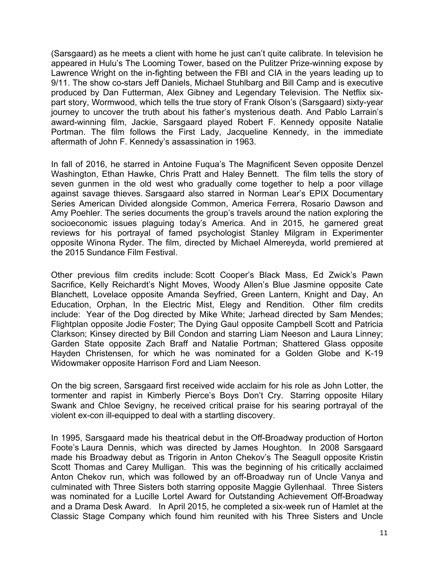(Sarsgaard) as he meets a client with home he just can't quite calibrate. In television he appeared in Hulu's The Looming Tower, based on the Pulitzer Prize-winning expose by Lawrence Wright on the in-fighting between the FBI and CIA in the years leading up to 9/11. The show co-stars Jeff Daniels, Michael Stuhlbarg and Bill Camp and is executive produced by Dan Futterman, Alex Gibney and Legendary Television. The Netflix sixpart story, Wormwood, which tells the true story of Frank Olson's (Sarsgaard) sixty-year journey to uncover the truth about his father's mysterious death. And Pablo Larrain's award-winning film, Jackie, Sarsgaard played Robert F. Kennedy opposite Natalie Portman. The film follows the First Lady, Jacqueline Kennedy, in the immediate aftermath of John F. Kennedy's assassination in 1963.

In fall of 2016, he starred in Antoine Fuqua's The Magnificent Seven opposite Denzel Washington, Ethan Hawke, Chris Pratt and Haley Bennett. The film tells the story of seven gunmen in the old west who gradually come together to help a poor village against savage thieves. Sarsgaard also starred in Norman Lear's EPIX Documentary Series American Divided alongside Common, America Ferrera, Rosario Dawson and Amy Poehler. The series documents the group's travels around the nation exploring the socioeconomic issues plaguing today's America. And in 2015, he garnered great reviews for his portrayal of famed psychologist Stanley Milgram in Experimenter opposite Winona Ryder. The film, directed by Michael Almereyda, world premiered at the 2015 Sundance Film Festival.

Other previous film credits include: Scott Cooper's Black Mass, Ed Zwick's Pawn Sacrifice, Kelly Reichardt's Night Moves, Woody Allen's Blue Jasmine opposite Cate Blanchett, Lovelace opposite Amanda Seyfried, Green Lantern, Knight and Day, An Education, Orphan, In the Electric Mist, Elegy and Rendition. Other film credits include: Year of the Dog directed by Mike White; Jarhead directed by Sam Mendes; Flightplan opposite Jodie Foster; The Dying Gaul opposite Campbell Scott and Patricia Clarkson; Kinsey directed by Bill Condon and starring Liam Neeson and Laura Linney; Garden State opposite Zach Braff and Natalie Portman; Shattered Glass opposite Hayden Christensen, for which he was nominated for a Golden Globe and K-19 Widowmaker opposite Harrison Ford and Liam Neeson.

On the big screen, Sarsgaard first received wide acclaim for his role as John Lotter, the tormenter and rapist in Kimberly Pierce's Boys Don't Cry. Starring opposite Hilary Swank and Chloe Sevigny, he received critical praise for his searing portrayal of the violent ex-con ill-equipped to deal with a startling discovery.

In 1995, Sarsgaard made his theatrical debut in the Off-Broadway production of Horton Foote's Laura Dennis, which was directed by James Houghton. In 2008 Sarsgaard made his Broadway debut as Trigorin in Anton Chekov's The Seagull opposite Kristin Scott Thomas and Carey Mulligan. This was the beginning of his critically acclaimed Anton Chekov run, which was followed by an off-Broadway run of Uncle Vanya and culminated with Three Sisters both starring opposite Maggie Gyllenhaal. Three Sisters was nominated for a Lucille Lortel Award for Outstanding Achievement Off-Broadway and a Drama Desk Award. In April 2015, he completed a six-week run of Hamlet at the Classic Stage Company which found him reunited with his Three Sisters and Uncle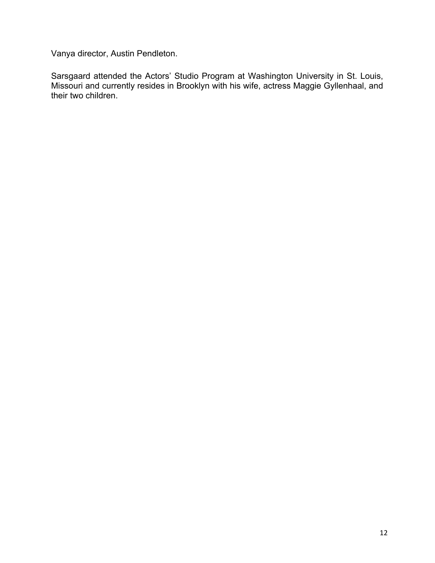Vanya director, Austin Pendleton.

Sarsgaard attended the Actors' Studio Program at Washington University in St. Louis, Missouri and currently resides in Brooklyn with his wife, actress Maggie Gyllenhaal, and their two children.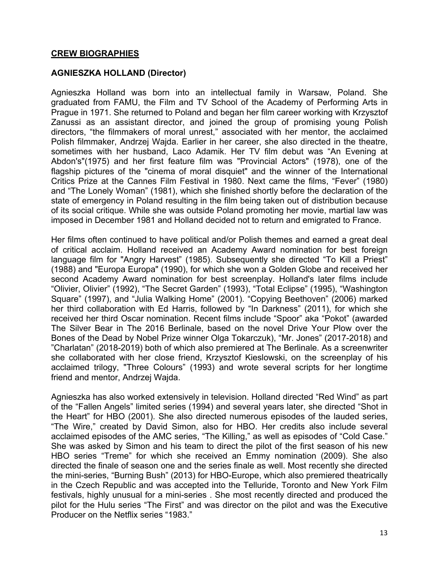## **CREW BIOGRAPHIES**

# **AGNIESZKA HOLLAND (Director)**

Agnieszka Holland was born into an intellectual family in Warsaw, Poland. She graduated from FAMU, the Film and TV School of the Academy of Performing Arts in Prague in 1971. She returned to Poland and began her film career working with Krzysztof Zanussi as an assistant director, and joined the group of promising young Polish directors, "the filmmakers of moral unrest," associated with her mentor, the acclaimed Polish filmmaker, Andrzej Wajda. Earlier in her career, she also directed in the theatre, sometimes with her husband, Laco Adamik. Her TV film debut was "An Evening at Abdon's"(1975) and her first feature film was "Provincial Actors" (1978), one of the flagship pictures of the "cinema of moral disquiet" and the winner of the International Critics Prize at the Cannes Film Festival in 1980. Next came the films, "Fever" (1980) and "The Lonely Woman" (1981), which she finished shortly before the declaration of the state of emergency in Poland resulting in the film being taken out of distribution because of its social critique. While she was outside Poland promoting her movie, martial law was imposed in December 1981 and Holland decided not to return and emigrated to France.

Her films often continued to have political and/or Polish themes and earned a great deal of critical acclaim. Holland received an Academy Award nomination for best foreign language film for "Angry Harvest" (1985). Subsequently she directed "To Kill a Priest" (1988) and "Europa Europa" (1990), for which she won a Golden Globe and received her second Academy Award nomination for best screenplay. Holland's later films include "Olivier, Olivier" (1992), "The Secret Garden" (1993), "Total Eclipse" (1995), "Washington Square" (1997), and "Julia Walking Home" (2001). "Copying Beethoven" (2006) marked her third collaboration with Ed Harris, followed by "In Darkness" (2011), for which she received her third Oscar nomination. Recent films include "Spoor" aka "Pokot" (awarded The Silver Bear in The 2016 Berlinale, based on the novel Drive Your Plow over the Bones of the Dead by Nobel Prize winner Olga Tokarczuk), "Mr. Jones" (2017-2018) and "Charlatan" (2018-2019) both of which also premiered at The Berlinale. As a screenwriter she collaborated with her close friend, Krzysztof Kieslowski, on the screenplay of his acclaimed trilogy, "Three Colours" (1993) and wrote several scripts for her longtime friend and mentor, Andrzej Wajda.

Agnieszka has also worked extensively in television. Holland directed "Red Wind" as part of the "Fallen Angels" limited series (1994) and several years later, she directed "Shot in the Heart" for HBO (2001). She also directed numerous episodes of the lauded series, "The Wire," created by David Simon, also for HBO. Her credits also include several acclaimed episodes of the AMC series, "The Killing," as well as episodes of "Cold Case." She was asked by Simon and his team to direct the pilot of the first season of his new HBO series "Treme" for which she received an Emmy nomination (2009). She also directed the finale of season one and the series finale as well. Most recently she directed the mini-series, "Burning Bush" (2013) for HBO-Europe, which also premiered theatrically in the Czech Republic and was accepted into the Telluride, Toronto and New York Film festivals, highly unusual for a mini-series . She most recently directed and produced the pilot for the Hulu series "The First" and was director on the pilot and was the Executive Producer on the Netflix series "1983."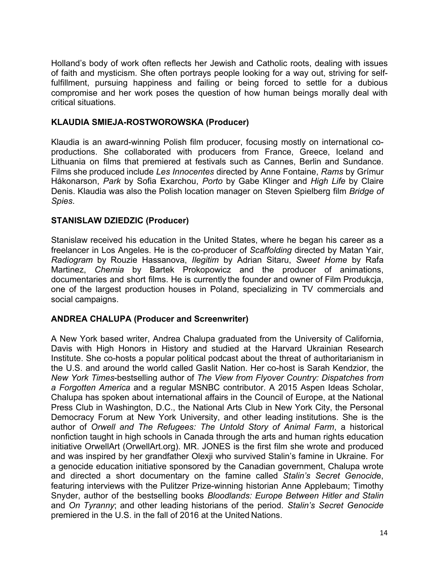Holland's body of work often reflects her Jewish and Catholic roots, dealing with issues of faith and mysticism. She often portrays people looking for a way out, striving for selffulfillment, pursuing happiness and failing or being forced to settle for a dubious compromise and her work poses the question of how human beings morally deal with critical situations.

# **KLAUDIA SMIEJA-ROSTWOROWSKA (Producer)**

Klaudia is an award-winning Polish film producer, focusing mostly on international coproductions. She collaborated with producers from France, Greece, Iceland and Lithuania on films that premiered at festivals such as Cannes, Berlin and Sundance. Films she produced include *Les Innocentes* directed by Anne Fontaine, *Rams* by Grímur Hákonarson, *Park* by Sofia Exarchou, *Porto* by Gabe Klinger and *High Life* by Claire Denis. Klaudia was also the Polish location manager on Steven Spielberg film *Bridge of Spies*.

# **STANISLAW DZIEDZIC (Producer)**

Stanislaw received his education in the United States, where he began his career as a freelancer in Los Angeles. He is the co-producer of *Scaffolding* directed by Matan Yair, *Radiogram* by Rouzie Hassanova, *Ilegitim* by Adrian Sitaru, *Sweet Home* by Rafa Martinez, *Chemia* by Bartek Prokopowicz and the producer of animations, documentaries and short films. He is currently the founder and owner of Film Produkcja, one of the largest production houses in Poland, specializing in TV commercials and social campaigns.

# **ANDREA CHALUPA (Producer and Screenwriter)**

A New York based writer, Andrea Chalupa graduated from the University of California, Davis with High Honors in History and studied at the Harvard Ukrainian Research Institute. She co-hosts a popular political podcast about the threat of authoritarianism in the U.S. and around the world called Gaslit Nation. Her co-host is Sarah Kendzior, the *New York Times*-bestselling author of *The View from Flyover Country: Dispatches from a Forgotten America* and a regular MSNBC contributor. A 2015 Aspen Ideas Scholar, Chalupa has spoken about international affairs in the Council of Europe, at the National Press Club in Washington, D.C., the National Arts Club in New York City, the Personal Democracy Forum at New York University, and other leading institutions. She is the author of *Orwell and The Refugees: The Untold Story of Animal Farm*, a historical nonfiction taught in high schools in Canada through the arts and human rights education initiative OrwellArt (OrwellArt.org). MR. JONES is the first film she wrote and produced and was inspired by her grandfather Olexji who survived Stalin's famine in Ukraine. For a genocide education initiative sponsored by the Canadian government, Chalupa wrote and directed a short documentary on the famine called *Stalin's Secret Genocid*e, featuring interviews with the Pulitzer Prize-winning historian Anne Applebaum; Timothy Snyder, author of the bestselling books *Bloodlands: Europe Between Hitler and Stalin* and *On Tyranny*; and other leading historians of the period. *Stalin's Secret Genocide*  premiered in the U.S. in the fall of 2016 at the United Nations.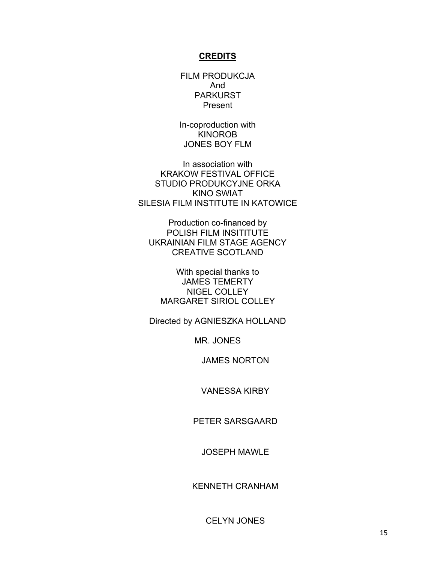#### **CREDITS**

FILM PRODUKCJA And PARKURST Present

In-coproduction with KINOROB JONES BOY FLM

In association with KRAKOW FESTIVAL OFFICE STUDIO PRODUKCYJNE ORKA KINO SWIAT SILESIA FILM INSTITUTE IN KATOWICE

Production co-financed by POLISH FILM INSITITUTE UKRAINIAN FILM STAGE AGENCY CREATIVE SCOTLAND

With special thanks to JAMES TEMERTY NIGEL COLLEY MARGARET SIRIOL COLLEY

Directed by AGNIESZKA HOLLAND

MR. JONES

JAMES NORTON

VANESSA KIRBY

PETER SARSGAARD

JOSEPH MAWLE

KENNETH CRANHAM

CELYN JONES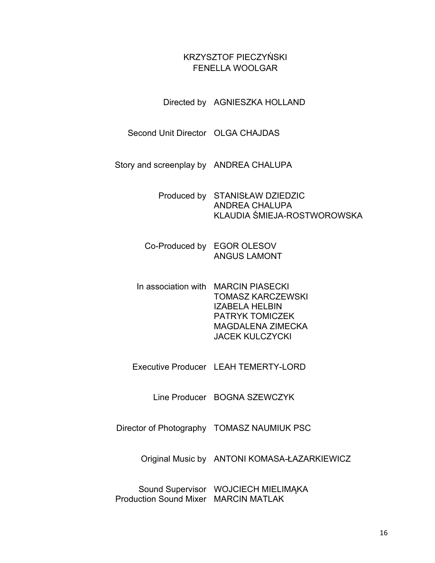# KRZYSZTOF PIECZYŃSKI FENELLA WOOLGAR

Directed by AGNIESZKA HOLLAND

Second Unit Director OLGA CHAJDAS

Story and screenplay by ANDREA CHALUPA

Produced by STANISŁAW DZIEDZIC ANDREA CHALUPA KLAUDIA ŚMIEJA-ROSTWOROWSKA

- Co-Produced by EGOR OLESOV ANGUS LAMONT
- In association with MARCIN PIASECKI TOMASZ KARCZEWSKI IZABELA HELBIN PATRYK TOMICZEK MAGDALENA ZIMECKA JACEK KULCZYCKI
- Executive Producer LEAH TEMERTY-LORD

Line Producer BOGNA SZEWCZYK

Director of Photography TOMASZ NAUMIUK PSC

Original Music by ANTONI KOMASA-ŁAZARKIEWICZ

Sound Supervisor WOJCIECH MIELIMĄKA Production Sound Mixer MARCIN MATLAK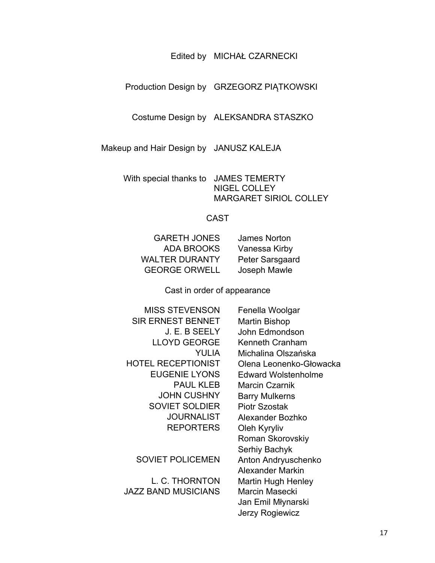## Edited by MICHAŁ CZARNECKI

## Production Design by GRZEGORZ PIĄTKOWSKI

Costume Design by ALEKSANDRA STASZKO

Makeup and Hair Design by JANUSZ KALEJA

With special thanks to JAMES TEMERTY NIGEL COLLEY MARGARET SIRIOL COLLEY

### CAST

| James Norton    |
|-----------------|
| Vanessa Kirby   |
| Peter Sarsgaard |
| Joseph Mawle    |
|                 |

Cast in order of appearance

| MISS STEVENSON           |
|--------------------------|
| <b>SIR ERNEST BENNET</b> |
| J. E. B SEELY            |
| LLOYD GEORGE             |
| YUHA                     |
| HOTEL RECEPTIONIST       |
| <b>EUGENIE LYONS</b>     |
| <b>PAUL KLEB</b>         |
| <b>JOHN CUSHNY</b>       |
| <b>SOVIET SOLDIER</b>    |
| JOURNALIST               |
| REPORTERS                |
|                          |

JAZZ BAND MUSICIANS Marcin Masecki

Fenella Woolgar Martin Bishop John Edmondson Kenneth Cranham Michalina Olszańska Olena Leonenko-Głowacka Edward Wolstenholme **Marcin Czarnik Barry Mulkerns** Piotr Szostak Alexander Bozhko **Oleh Kyryliv** Roman Skorovskiy Serhiy Bachyk SOVIET POLICEMEN Anton Andryuschenko Alexander Markin L. C. THORNTON Martin Hugh Henley Jan Emil Młynarski Jerzy Rogiewicz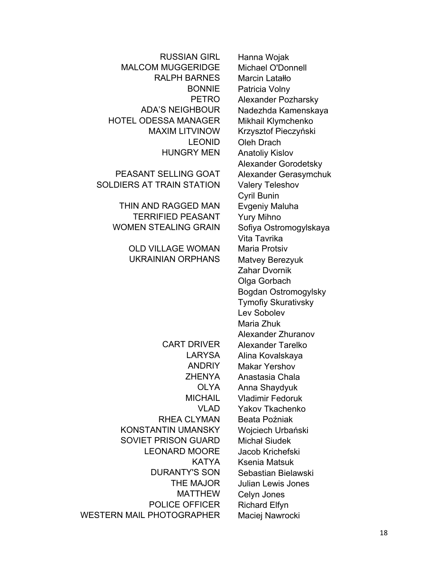RALPH BARNES Marcin Latałło HOTEL ODESSA MANAGER Mikhail Klymchenko MAXIM LITVINOW Krzysztof Pieczyński HUNGRY MEN Anatoliv Kislov PEASANT SELLING GOAT Alexander Gerasymchuk SOLDIERS AT TRAIN STATION Valery Teleshov THIN AND RAGGED MAN Evgeniy Maluha TERRIFIED PEASANT Yury Mihno WOMEN STEALING GRAIN Sofiya Ostromogylskaya OLD VILLAGE WOMAN Maria Protsiv UKRAINIAN ORPHANS Matvey Berezyuk RHEA CLYMAN Beata Poźniak KONSTANTIN UMANSKY Wojciech Urbański SOVIET PRISON GUARD Michał Siudek LEONARD MOORE Jacob Krichefski DURANTY'S SON Sebastian Bielawski MATTHEW Celyn Jones POLICE OFFICER Richard Elfyn WESTERN MAIL PHOTOGRAPHER Maciej Nawrocki

RUSSIAN GIRL Hanna Wojak MALCOM MUGGERIDGE Michael O'Donnell BONNIE Patricia Volny PETRO Alexander Pozharsky ADA'S NEIGHBOUR Nadezhda Kamenskaya LEONID Oleh Drach Alexander Gorodetsky Cyril Bunin Vita Tavrika Zahar Dvornik Olga Gorbach Bogdan Ostromogylsky Tymofiy Skurativsky Lev Sobolev Maria Zhuk Alexander Zhuranov CART DRIVER Alexander Tarelko LARYSA Alina Kovalskaya ANDRIY Makar Yershov ZHENYA Anastasia Chala OLYA Anna Shaydyuk MICHAIL Vladimir Fedoruk VLAD Yakоv Tkachenko KATYA Ksenia Matsuk THE MAJOR Julian Lewis Jones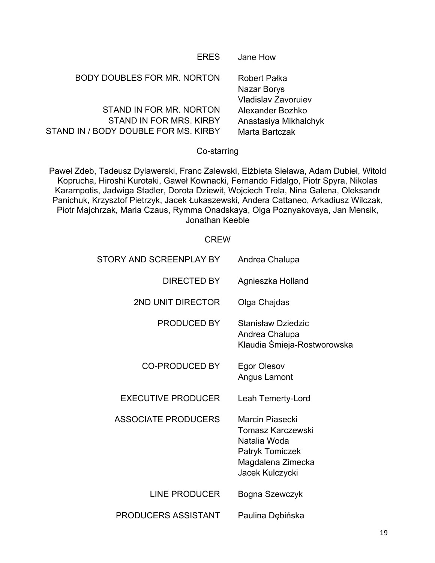| <b>ERES</b>                          | Jane How                           |
|--------------------------------------|------------------------------------|
| <b>BODY DOUBLES FOR MR. NORTON</b>   | <b>Robert Pałka</b><br>Nazar Borys |
|                                      | Vladislav Zavoruiev                |
| STAND IN FOR MR. NORTON              | Alexander Bozhko                   |
| STAND IN FOR MRS, KIRBY              | Anastasiya Mikhalchyk              |
| STAND IN / BODY DOUBLE FOR MS. KIRBY | Marta Bartczak                     |
|                                      |                                    |

# Co-starring

Paweł Zdeb, Tadeusz Dylawerski, Franc Zalewski, Elżbieta Sielawa, Adam Dubiel, Witold Koprucha, Hiroshi Kurotaki, Gaweł Kownacki, Fernando Fidalgo, Piotr Spyra, Nikolas Karampotis, Jadwiga Stadler, Dorota Dziewit, Wojciech Trela, Nina Galena, Oleksandr Panichuk, Krzysztof Pietrzyk, Jacek Łukaszewski, Andera Cattaneo, Arkadiusz Wilczak, Piotr Majchrzak, Maria Czaus, Rymma Onadskaya, Olga Poznyakovaya, Jan Mensik, Jonathan Keeble

# **CREW**

| STORY AND SCREENPLAY BY    | Andrea Chalupa                                                                                                         |
|----------------------------|------------------------------------------------------------------------------------------------------------------------|
| <b>DIRECTED BY</b>         | Agnieszka Holland                                                                                                      |
| <b>2ND UNIT DIRECTOR</b>   | Olga Chajdas                                                                                                           |
| PRODUCED BY                | <b>Stanisław Dziedzic</b><br>Andrea Chalupa<br>Klaudia Śmieja-Rostworowska                                             |
| <b>CO-PRODUCED BY</b>      | <b>Egor Olesov</b><br>Angus Lamont                                                                                     |
| <b>EXECUTIVE PRODUCER</b>  | Leah Temerty-Lord                                                                                                      |
| <b>ASSOCIATE PRODUCERS</b> | Marcin Piasecki<br>Tomasz Karczewski<br>Natalia Woda<br><b>Patryk Tomiczek</b><br>Magdalena Zimecka<br>Jacek Kulczycki |
| <b>LINE PRODUCER</b>       | Bogna Szewczyk                                                                                                         |
| <b>PRODUCERS ASSISTANT</b> | Paulina Dębińska                                                                                                       |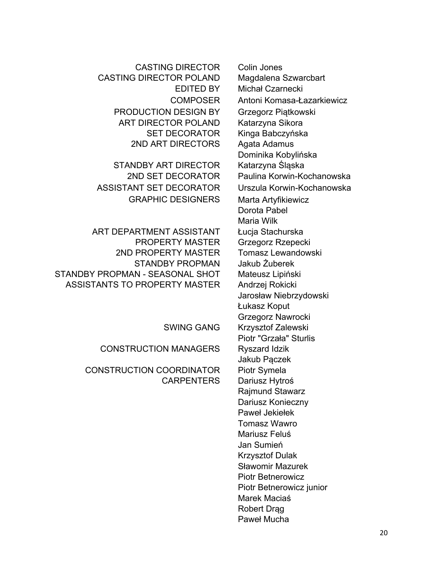CASTING DIRECTOR Colin Jones CASTING DIRECTOR POLAND Magdalena Szwarcbart PRODUCTION DESIGN BY Grzegorz Piątkowski ART DIRECTOR POLAND Katarzyna Sikora SET DECORATOR Kinga Babczyńska 2ND ART DIRECTORS Agata Adamus

STANDBY ART DIRECTOR Katarzyna Śląska ASSISTANT SET DECORATOR Urszula Korwin-Kochanowska GRAPHIC DESIGNERS Marta Artyfikiewicz

ART DEPARTMENT ASSISTANT Łucja Stachurska PROPERTY MASTER Grzegorz Rzepecki 2ND PROPERTY MASTER Tomasz Lewandowski STANDBY PROPMAN Jakub Żuberek STANDBY PROPMAN - SEASONAL SHOT Mateusz Lipiński ASSISTANTS TO PROPERTY MASTER Andrzej Rokicki

CONSTRUCTION MANAGERS Ryszard Idzik

CONSTRUCTION COORDINATOR Piotr Symela CARPENTERS Dariusz Hytroś

EDITED BY Michał Czarnecki COMPOSER Antoni Komasa-Łazarkiewicz Dominika Kobylińska 2ND SET DECORATOR Paulina Korwin-Kochanowska Dorota Pabel Maria Wilk Jarosław Niebrzydowski Łukasz Koput Grzegorz Nawrocki SWING GANG Krzysztof Zalewski Piotr "Grzała" Sturlis Jakub Pączek Rajmund Stawarz Dariusz Konieczny Paweł Jekiełek Tomasz Wawro Mariusz Feluś Jan Sumień Krzysztof Dulak Sławomir Mazurek Piotr Betnerowicz Piotr Betnerowicz junior Marek Maciaś Robert Drag Paweł Mucha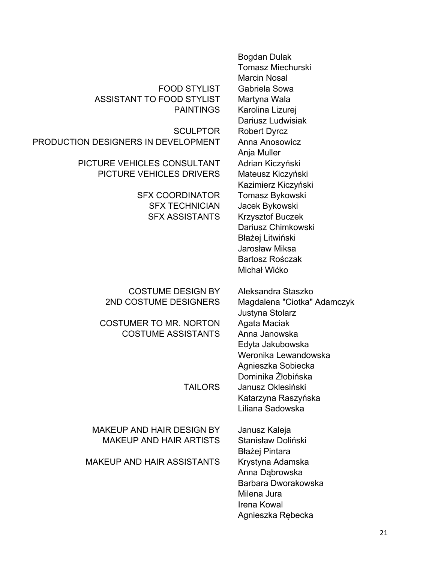|                                     | Bogdan Dulak<br><b>Tomasz Miechurski</b><br><b>Marcin Nosal</b> |
|-------------------------------------|-----------------------------------------------------------------|
| <b>FOOD STYLIST</b>                 | Gabriela Sowa                                                   |
| <b>ASSISTANT TO FOOD STYLIST</b>    | Martyna Wala                                                    |
| <b>PAINTINGS</b>                    | Karolina Lizurej                                                |
|                                     | Dariusz Ludwisiak                                               |
| <b>SCULPTOR</b>                     |                                                                 |
| PRODUCTION DESIGNERS IN DEVELOPMENT | <b>Robert Dyrcz</b><br>Anna Anosowicz                           |
|                                     |                                                                 |
|                                     | Anja Muller                                                     |
| PICTURE VEHICLES CONSULTANT         | Adrian Kiczyński                                                |
| <b>PICTURE VEHICLES DRIVERS</b>     | Mateusz Kiczyński                                               |
|                                     | Kazimierz Kiczyński                                             |
| <b>SFX COORDINATOR</b>              | Tomasz Bykowski                                                 |
| <b>SFX TECHNICIAN</b>               | Jacek Bykowski                                                  |
| <b>SFX ASSISTANTS</b>               | Krzysztof Buczek                                                |
|                                     | Dariusz Chimkowski                                              |
|                                     | Błażej Litwiński                                                |
|                                     | Jarosław Miksa                                                  |
|                                     | Bartosz Rośczak                                                 |
|                                     | Michał Wićko                                                    |
| <b>COSTUME DESIGN BY</b>            | Aleksandra Staszko                                              |
| 2ND COSTUME DESIGNERS               | Magdalena "Ciotka" Adamczyk                                     |
|                                     | Justyna Stolarz                                                 |
| <b>COSTUMER TO MR. NORTON</b>       | Agata Maciak                                                    |
| <b>COSTUME ASSISTANTS</b>           | Anna Janowska                                                   |
|                                     | Edyta Jakubowska                                                |
|                                     | Weronika Lewandowska                                            |
|                                     | Agnieszka Sobiecka                                              |
|                                     | Dominika Żłobińska                                              |
| <b>TAILORS</b>                      | Janusz Oklesiński                                               |
|                                     |                                                                 |
|                                     | Katarzyna Raszyńska<br>Liliana Sadowska                         |
|                                     |                                                                 |
| <b>MAKEUP AND HAIR DESIGN BY</b>    | Janusz Kaleja                                                   |
| <b>MAKEUP AND HAIR ARTISTS</b>      | Stanisław Doliński                                              |
|                                     | Błażej Pintara                                                  |
| <b>MAKEUP AND HAIR ASSISTANTS</b>   | Krystyna Adamska                                                |
|                                     | Anna Dąbrowska                                                  |
|                                     | Barbara Dworakowska                                             |
|                                     | Milena Jura                                                     |
|                                     | Irena Kowal                                                     |
|                                     | Agnieszka Rębecka                                               |
|                                     |                                                                 |
|                                     |                                                                 |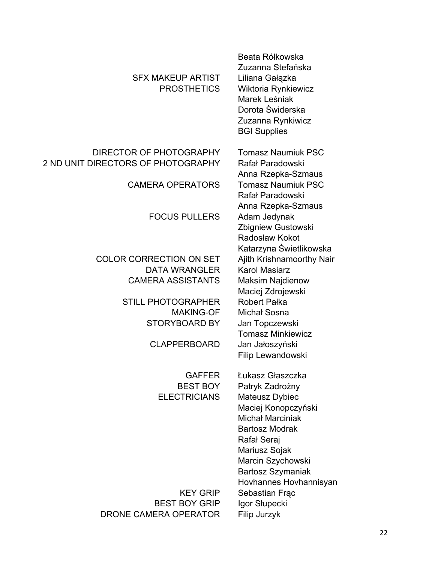| Beata Rółkowska<br>Zuzanna Stefańska<br>Liliana Gałązka<br>Wiktoria Rynkiewicz<br>Marek Leśniak<br>Dorota Świderska<br>Zuzanna Rynkiwicz<br><b>BGI Supplies</b> |
|-----------------------------------------------------------------------------------------------------------------------------------------------------------------|
| <b>Tomasz Naumiuk PSC</b><br>Rafał Paradowski<br>Anna Rzepka-Szmaus                                                                                             |
| <b>Tomasz Naumiuk PSC</b><br>Rafał Paradowski<br>Anna Rzepka-Szmaus                                                                                             |
| Adam Jedynak<br>Zbigniew Gustowski<br>Radosław Kokot<br>Katarzyna Świetlikowska                                                                                 |
| Ajith Krishnamoorthy Nair                                                                                                                                       |
| <b>Karol Masiarz</b>                                                                                                                                            |
| <b>Maksim Najdienow</b>                                                                                                                                         |
| Maciej Zdrojewski                                                                                                                                               |
| <b>Robert Pałka</b>                                                                                                                                             |
| Michał Sosna                                                                                                                                                    |
| Jan Topczewski                                                                                                                                                  |
| <b>Tomasz Minkiewicz</b>                                                                                                                                        |
| Jan Jałoszyński                                                                                                                                                 |
| Filip Lewandowski                                                                                                                                               |
| Łukasz Głaszczka                                                                                                                                                |
| Patryk Zadrożny                                                                                                                                                 |
| Mateusz Dybiec                                                                                                                                                  |
| Maciej Konopczyński                                                                                                                                             |
| <b>Michał Marciniak</b>                                                                                                                                         |
| <b>Bartosz Modrak</b>                                                                                                                                           |
| Rafał Seraj                                                                                                                                                     |
| Mariusz Sojak                                                                                                                                                   |
| Marcin Szychowski                                                                                                                                               |
| <b>Bartosz Szymaniak</b>                                                                                                                                        |
| Hovhannes Hovhannisyan                                                                                                                                          |
|                                                                                                                                                                 |
|                                                                                                                                                                 |
| Sebastian Frac<br>Igor Słupecki                                                                                                                                 |
|                                                                                                                                                                 |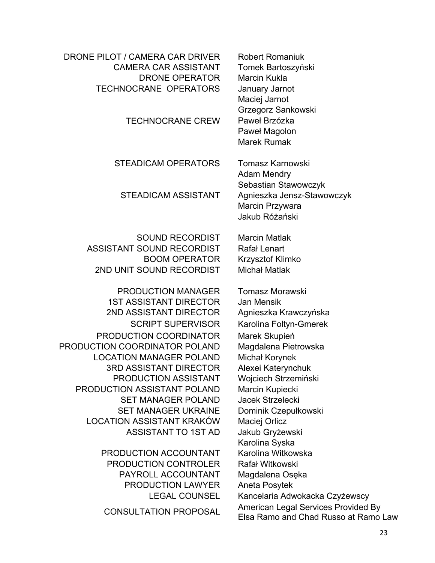| DRONE PILOT / CAMERA CAR DRIVER<br><b>CAMERA CAR ASSISTANT</b><br><b>DRONE OPERATOR</b><br><b>TECHNOCRANE OPERATORS</b><br><b>TECHNOCRANE CREW</b> | <b>Robert Romaniuk</b><br>Tomek Bartoszyński<br><b>Marcin Kukla</b><br>January Jarnot<br>Maciej Jarnot<br>Grzegorz Sankowski<br>Paweł Brzózka<br>Paweł Magolon<br><b>Marek Rumak</b> |
|----------------------------------------------------------------------------------------------------------------------------------------------------|--------------------------------------------------------------------------------------------------------------------------------------------------------------------------------------|
| <b>STEADICAM OPERATORS</b><br><b>STEADICAM ASSISTANT</b>                                                                                           | Tomasz Karnowski<br><b>Adam Mendry</b><br>Sebastian Stawowczyk<br>Agnieszka Jensz-Stawowczyk<br>Marcin Przywara<br>Jakub Różański                                                    |
| <b>SOUND RECORDIST</b>                                                                                                                             | <b>Marcin Matlak</b>                                                                                                                                                                 |
| ASSISTANT SOUND RECORDIST                                                                                                                          | Rafał Lenart                                                                                                                                                                         |
| <b>BOOM OPERATOR</b>                                                                                                                               | Krzysztof Klimko                                                                                                                                                                     |
| 2ND UNIT SOUND RECORDIST                                                                                                                           | <b>Michał Matlak</b>                                                                                                                                                                 |
| <b>PRODUCTION MANAGER</b>                                                                                                                          | <b>Tomasz Morawski</b>                                                                                                                                                               |
| <b>1ST ASSISTANT DIRECTOR</b>                                                                                                                      | Jan Mensik                                                                                                                                                                           |
| 2ND ASSISTANT DIRECTOR                                                                                                                             | Agnieszka Krawczyńska                                                                                                                                                                |
| <b>SCRIPT SUPERVISOR</b>                                                                                                                           | Karolina Foltyn-Gmerek                                                                                                                                                               |
| PRODUCTION COORDINATOR                                                                                                                             | Marek Skupień                                                                                                                                                                        |
| PRODUCTION COORDINATOR POLAND                                                                                                                      | Magdalena Pietrowska                                                                                                                                                                 |
| <b>LOCATION MANAGER POLAND</b>                                                                                                                     | <b>Michał Korynek</b>                                                                                                                                                                |
| 3RD ASSISTANT DIRECTOR<br><b>PRODUCTION ASSISTANT</b>                                                                                              | Alexei Katerynchuk<br>Wojciech Strzemiński                                                                                                                                           |
| PRODUCTION ASSISTANT POLAND                                                                                                                        | Marcin Kupiecki                                                                                                                                                                      |
| <b>SET MANAGER POLAND</b>                                                                                                                          | Jacek Strzelecki                                                                                                                                                                     |
| <b>SET MANAGER UKRAINE</b>                                                                                                                         | Dominik Czepułkowski                                                                                                                                                                 |
| <b>LOCATION ASSISTANT KRAKÓW</b>                                                                                                                   | Maciej Orlicz                                                                                                                                                                        |
| <b>ASSISTANT TO 1ST AD</b>                                                                                                                         | Jakub Gryżewski                                                                                                                                                                      |
|                                                                                                                                                    | Karolina Syska                                                                                                                                                                       |
| PRODUCTION ACCOUNTANT                                                                                                                              | Karolina Witkowska                                                                                                                                                                   |
| PRODUCTION CONTROLER                                                                                                                               | Rafał Witkowski                                                                                                                                                                      |
| PAYROLL ACCOUNTANT                                                                                                                                 | Magdalena Osęka                                                                                                                                                                      |
| <b>PRODUCTION LAWYER</b>                                                                                                                           | Aneta Posytek                                                                                                                                                                        |
| <b>LEGAL COUNSEL</b>                                                                                                                               | Kancelaria Adwokacka Czyżewscy                                                                                                                                                       |
| <b>CONSULTATION PROPOSAL</b>                                                                                                                       | American Legal Services Provided By                                                                                                                                                  |
|                                                                                                                                                    | Elsa Ramo and Chad Russo at Ramo Law                                                                                                                                                 |
|                                                                                                                                                    |                                                                                                                                                                                      |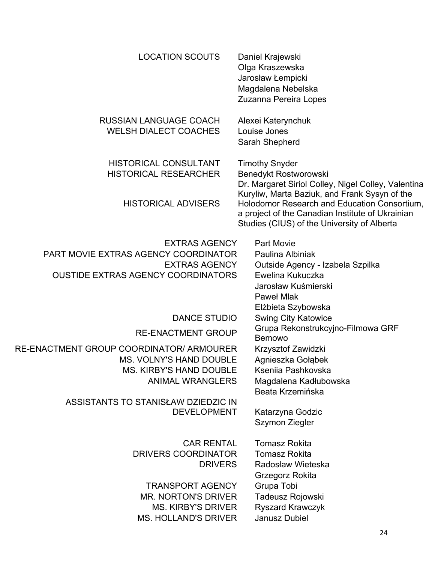| <b>LOCATION SCOUTS</b>                                                                                                            | Daniel Krajewski<br>Olga Kraszewska<br>Jarosław Łempicki<br>Magdalena Nebelska<br>Zuzanna Pereira Lopes                                                |
|-----------------------------------------------------------------------------------------------------------------------------------|--------------------------------------------------------------------------------------------------------------------------------------------------------|
| <b>RUSSIAN LANGUAGE COACH</b><br><b>WELSH DIALECT COACHES</b>                                                                     | Alexei Katerynchuk<br>Louise Jones<br>Sarah Shepherd                                                                                                   |
| <b>HISTORICAL CONSULTANT</b><br><b>HISTORICAL RESEARCHER</b>                                                                      | <b>Timothy Snyder</b><br>Benedykt Rostworowski<br>Dr. Margaret Siriol Colley, Nigel Colley, Valentina<br>Kuryliw, Marta Baziuk, and Frank Sysyn of the |
| <b>HISTORICAL ADVISERS</b>                                                                                                        | Holodomor Research and Education Consortium,<br>a project of the Canadian Institute of Ukrainian<br>Studies (CIUS) of the University of Alberta        |
| <b>EXTRAS AGENCY</b><br>PART MOVIE EXTRAS AGENCY COORDINATOR<br><b>EXTRAS AGENCY</b><br><b>OUSTIDE EXTRAS AGENCY COORDINATORS</b> | <b>Part Movie</b><br>Paulina Albiniak<br>Outside Agency - Izabela Szpilka<br>Ewelina Kukuczka<br>Jarosław Kuśmierski<br><b>Pawel Mlak</b>              |
|                                                                                                                                   | Elżbieta Szybowska                                                                                                                                     |
| <b>DANCE STUDIO</b><br><b>RE-ENACTMENT GROUP</b>                                                                                  | <b>Swing City Katowice</b><br>Grupa Rekonstrukcyjno-Filmowa GRF<br><b>Bemowo</b>                                                                       |
| RE-ENACTMENT GROUP COORDINATOR/ ARMOURER                                                                                          | Krzysztof Zawidzki                                                                                                                                     |
| <b>MS. VOLNY'S HAND DOUBLE</b>                                                                                                    | Agnieszka Gołąbek                                                                                                                                      |
| <b>MS. KIRBY'S HAND DOUBLE</b>                                                                                                    | Kseniia Pashkovska                                                                                                                                     |
| <b>ANIMAL WRANGLERS</b>                                                                                                           | Magdalena Kadłubowska                                                                                                                                  |
| ASSISTANTS TO STANISŁAW DZIEDZIC IN                                                                                               | Beata Krzemińska                                                                                                                                       |
| <b>DEVELOPMENT</b>                                                                                                                | Katarzyna Godzic<br>Szymon Ziegler                                                                                                                     |
| <b>CAR RENTAL</b>                                                                                                                 | <b>Tomasz Rokita</b>                                                                                                                                   |
| DRIVERS COORDINATOR                                                                                                               | <b>Tomasz Rokita</b>                                                                                                                                   |
| <b>DRIVERS</b>                                                                                                                    | Radosław Wieteska                                                                                                                                      |
|                                                                                                                                   | Grzegorz Rokita                                                                                                                                        |
| <b>TRANSPORT AGENCY</b>                                                                                                           | Grupa Tobi                                                                                                                                             |
| <b>MR. NORTON'S DRIVER</b>                                                                                                        | Tadeusz Rojowski                                                                                                                                       |
| <b>MS. KIRBY'S DRIVER</b>                                                                                                         | Ryszard Krawczyk                                                                                                                                       |
| <b>MS. HOLLAND'S DRIVER</b>                                                                                                       | <b>Janusz Dubiel</b>                                                                                                                                   |
|                                                                                                                                   | 24                                                                                                                                                     |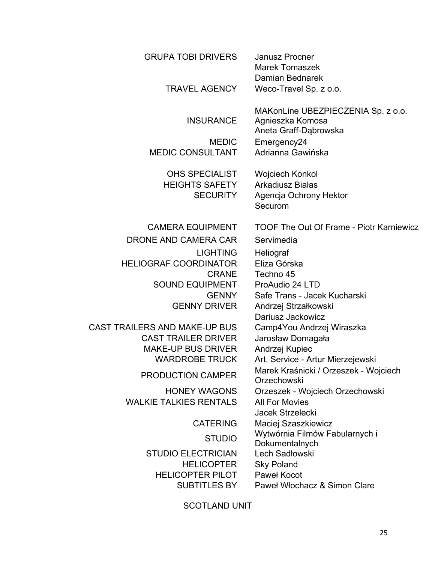| <b>GRUPA TOBI DRIVERS</b>                                         | <b>Janusz Procner</b><br><b>Marek Tomaszek</b><br>Damian Bednarek               |
|-------------------------------------------------------------------|---------------------------------------------------------------------------------|
| <b>TRAVEL AGENCY</b>                                              | Weco-Travel Sp. z o.o.                                                          |
| <b>INSURANCE</b>                                                  | MAKonLine UBEZPIECZENIA Sp. z o.o.<br>Agnieszka Komosa<br>Aneta Graff-Dąbrowska |
| <b>MEDIC</b><br><b>MEDIC CONSULTANT</b>                           | Emergency24<br>Adrianna Gawińska                                                |
| <b>OHS SPECIALIST</b><br><b>HEIGHTS SAFETY</b><br><b>SECURITY</b> | Wojciech Konkol<br><b>Arkadiusz Białas</b><br>Agencja Ochrony Hektor<br>Securom |
| <b>CAMERA EQUIPMENT</b>                                           | <b>TOOF The Out Of Frame - Piotr Karniewicz</b>                                 |
| DRONE AND CAMERA CAR                                              | Servimedia                                                                      |
| <b>LIGHTING</b>                                                   | Heliograf                                                                       |
| <b>HELIOGRAF COORDINATOR</b>                                      | Eliza Górska                                                                    |
| <b>CRANE</b>                                                      | Techno 45                                                                       |
| <b>SOUND EQUIPMENT</b><br><b>GENNY</b>                            | ProAudio 24 LTD<br>Safe Trans - Jacek Kucharski                                 |
| <b>GENNY DRIVER</b>                                               | Andrzej Strzałkowski                                                            |
|                                                                   | Dariusz Jackowicz                                                               |
| CAST TRAILERS AND MAKE-UP BUS                                     | Camp4You Andrzej Wiraszka                                                       |
| <b>CAST TRAILER DRIVER</b>                                        | Jarosław Domagała                                                               |
| <b>MAKE-UP BUS DRIVER</b>                                         | Andrzej Kupiec                                                                  |
| <b>WARDROBE TRUCK</b>                                             | Art. Service - Artur Mierzejewski                                               |
| <b>PRODUCTION CAMPER</b>                                          | Marek Kraśnicki / Orzeszek - Wojciech<br>Orzechowski                            |
| <b>HONEY WAGONS</b>                                               | Orzeszek - Wojciech Orzechowski                                                 |
| <b>WALKIE TALKIES RENTALS</b>                                     | <b>All For Movies</b>                                                           |
|                                                                   | <b>Jacek Strzelecki</b>                                                         |
| <b>CATERING</b>                                                   | Maciej Szaszkiewicz<br>Wytwórnia Filmów Fabularnych i                           |
| <b>STUDIO</b>                                                     | Dokumentalnych                                                                  |
| <b>STUDIO ELECTRICIAN</b>                                         | Lech Sadłowski                                                                  |
| <b>HELICOPTER</b>                                                 | <b>Sky Poland</b>                                                               |
| <b>HELICOPTER PILOT</b>                                           | Paweł Kocot                                                                     |
| <b>SUBTITLES BY</b>                                               | Paweł Włochacz & Simon Clare                                                    |
|                                                                   |                                                                                 |

SCOTLAND UNIT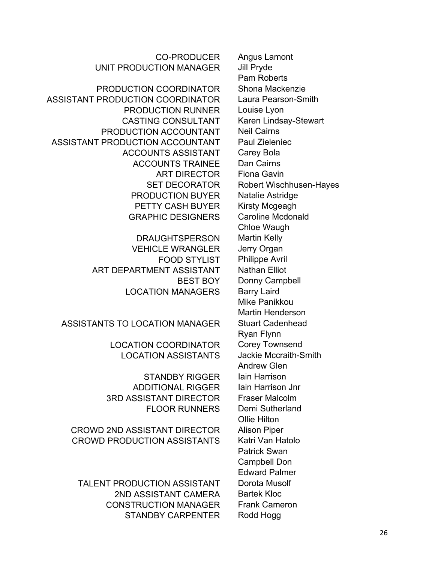CO-PRODUCER Angus Lamont UNIT PRODUCTION MANAGER Jill Pryde

PRODUCTION COORDINATOR Shona Mackenzie ASSISTANT PRODUCTION COORDINATOR Laura Pearson-Smith PRODUCTION RUNNER Louise Lyon CASTING CONSULTANT Karen Lindsay-Stewart PRODUCTION ACCOUNTANT Neil Cairns ASSISTANT PRODUCTION ACCOUNTANT Paul Zieleniec ACCOUNTS ASSISTANT Carey Bola ACCOUNTS TRAINEE Dan Cairns ART DIRECTOR Fiona Gavin PRODUCTION BUYER Natalie Astridge PETTY CASH BUYER Kirsty Mcgeagh GRAPHIC DESIGNERS Caroline Mcdonald

> DRAUGHTSPERSON Martin Kelly VEHICLE WRANGLER Jerry Organ FOOD STYLIST Philippe Avril ART DEPARTMENT ASSISTANT Nathan Elliot LOCATION MANAGERS Barry Laird

ASSISTANTS TO LOCATION MANAGER Stuart Cadenhead

LOCATION COORDINATOR Corey Townsend LOCATION ASSISTANTS Jackie Mccraith-Smith

STANDBY RIGGER lain Harrison ADDITIONAL RIGGER lain Harrison Jnr 3RD ASSISTANT DIRECTOR Fraser Malcolm FLOOR RUNNERS Demi Sutherland

CROWD 2ND ASSISTANT DIRECTOR Alison Piper CROWD PRODUCTION ASSISTANTS Katri Van Hatolo

TALENT PRODUCTION ASSISTANT Dorota Musolf 2ND ASSISTANT CAMERA Bartek Kloc CONSTRUCTION MANAGER Frank Cameron STANDBY CARPENTER Rodd Hogg

Pam Roberts SET DECORATOR Robert Wischhusen-Hayes Chloe Waugh BEST BOY Donny Campbell Mike Panikkou Martin Henderson Ryan Flynn Andrew Glen Ollie Hilton Patrick Swan Campbell Don Edward Palmer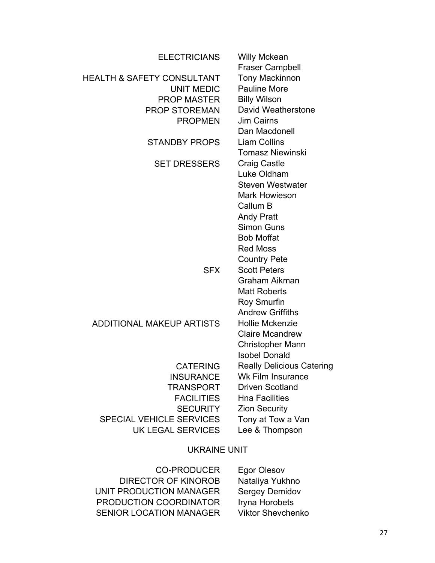| <b>ELECTRICIANS</b>                   | <b>Willy Mckean</b><br><b>Fraser Campbell</b> |
|---------------------------------------|-----------------------------------------------|
| <b>HEALTH &amp; SAFETY CONSULTANT</b> | <b>Tony Mackinnon</b>                         |
| <b>UNIT MEDIC</b>                     | <b>Pauline More</b>                           |
| <b>PROP MASTER</b>                    | <b>Billy Wilson</b>                           |
| <b>PROP STOREMAN</b>                  | David Weatherstone                            |
| <b>PROPMEN</b>                        | <b>Jim Cairns</b>                             |
|                                       | Dan Macdonell                                 |
| <b>STANDBY PROPS</b>                  | <b>Liam Collins</b>                           |
|                                       | <b>Tomasz Niewinski</b>                       |
| <b>SET DRESSERS</b>                   | Craig Castle                                  |
|                                       | Luke Oldham                                   |
|                                       | <b>Steven Westwater</b>                       |
|                                       | <b>Mark Howieson</b>                          |
|                                       | Callum B                                      |
|                                       | <b>Andy Pratt</b>                             |
|                                       | <b>Simon Guns</b>                             |
|                                       | <b>Bob Moffat</b>                             |
|                                       | <b>Red Moss</b>                               |
|                                       | <b>Country Pete</b>                           |
| <b>SFX</b>                            | <b>Scott Peters</b>                           |
|                                       | Graham Aikman                                 |
|                                       | <b>Matt Roberts</b>                           |
|                                       | Roy Smurfin                                   |
|                                       | <b>Andrew Griffiths</b>                       |
| <b>ADDITIONAL MAKEUP ARTISTS</b>      | <b>Hollie Mckenzie</b>                        |
|                                       | <b>Claire Mcandrew</b>                        |
|                                       | <b>Christopher Mann</b>                       |
|                                       | <b>Isobel Donald</b>                          |
| <b>CATERING</b>                       | <b>Really Delicious Catering</b>              |
| <b>INSURANCE</b>                      | <b>Wk Film Insurance</b>                      |
| TRANSPORT                             | <b>Driven Scotland</b>                        |
| <b>FACILITIES</b>                     | <b>Hna Facilities</b>                         |
| <b>SECURITY</b>                       | <b>Zion Security</b>                          |
| <b>SPECIAL VEHICLE SERVICES</b>       | Tony at Tow a Van                             |
| UK LEGAL SERVICES                     | Lee & Thompson                                |
|                                       |                                               |
| <b>UKRAINE UNIT</b>                   |                                               |
|                                       |                                               |

CO-PRODUCER Egor Olesov DIRECTOR OF KINOROB Nataliya Yukhno UNIT PRODUCTION MANAGER Sergey Demidov PRODUCTION COORDINATOR Iryna Horobets SENIOR LOCATION MANAGER Viktor Shevchenko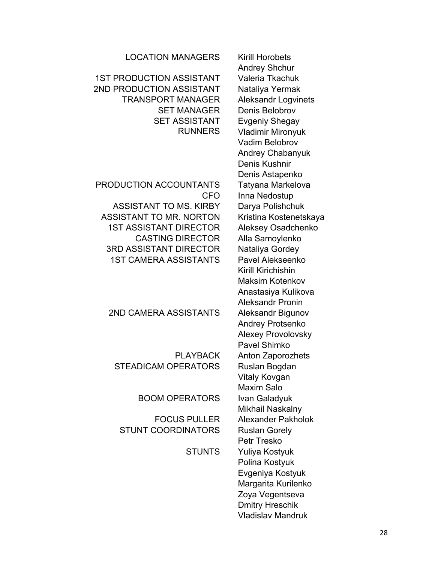| LOCATION MANAGERS               | Kirill Horobets      |
|---------------------------------|----------------------|
|                                 | <b>Andrey Shchur</b> |
| <b>1ST PRODUCTION ASSISTANT</b> | Valeria Tkachuk      |
| 2ND PRODUCTION ASSISTANT        | Nataliya Yermak      |

TRANSPORT MANAGER Aleksandr Logvinets SET MANAGER Denis Belobrov SET ASSISTANT Evgeniy Shegay

# PRODUCTION ACCOUNTANTS Tatyana Markelova ASSISTANT TO MS. KIRBY Darya Polishchuk ASSISTANT TO MR. NORTON Kristina Kostenetskaya 1ST ASSISTANT DIRECTOR Aleksey Osadchenko CASTING DIRECTOR Alla Samoylenko 3RD ASSISTANT DIRECTOR Nataliуa Gordey 1ST CAMERA ASSISTANTS Pavel Alekseenko

# 2ND CAMERA ASSISTANTS Aleksandr Bigunov

STEADICAM OPERATORS Ruslan Bogdan

BOOM OPERATORS Ivan Galadyuk

STUNT COORDINATORS Ruslan Gorely

**N MANAGERS** Kirill Horobets Andrey Shchur RUNNERS Vladimir Mironyuk Vadim Belobrov Andrey Chabanyuk Denis Kushnir Denis Astapenko CFO Inna Nedostup Kirill Kirichishin Maksim Kotenkov Anastasiya Kulikova Aleksandr Pronin Andrey Protsenko Alexey Provolovsky Pavel Shimko PLAYBACK Anton Zaporozhets Vitaly Kovgan Maxim Salo Mikhail Naskalny FOCUS PULLER Alexander Pakholok Petr Tresko STUNTS Yuliya Kostyuk Polina Kostyuk Evgeniya Kostyuk Margarita Kurilenko Zoya Vegentseva Dmitry Hreschik Vladislav Mandruk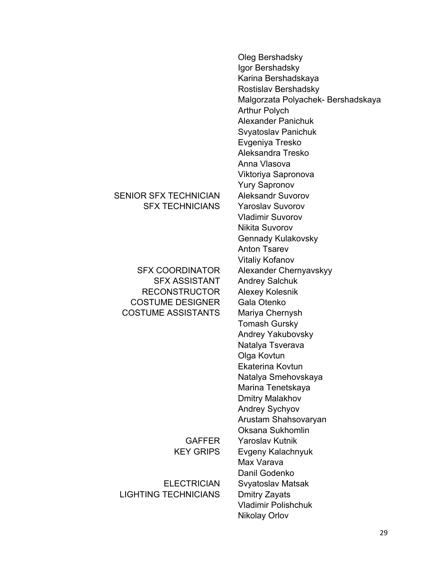# SENIOR SFX TECHNICIAN Aleksandr Suvorov SFX TECHNICIANS Yaroslav Suvorov

SFX ASSISTANT Andrey Salchuk RECONSTRUCTOR Alexey Kolesnik COSTUME DESIGNER Gala Otenko COSTUME ASSISTANTS Mariya Chernysh

LIGHTING TECHNICIANS Dmitry Zayats

Oleg Bershadsky Igor Bershadsky Karina Bershadskaya Rostislav Bershadsky Malgorzata Polyachek- Bershadskaya Arthur Polych Alexander Panichuk Svyatoslav Panichuk Evgeniya Tresko Aleksandra Tresko Anna Vlasova Viktoriya Sapronova Yury Sapronov Vladimir Suvorov Nikita Suvorov Gennady Kulakovsky Anton Tsarev Vitaliy Kofanov SFX COORDINATOR Alexander Chernyavskyy Tomash Gursky Andrey Yakubovsky Natalya Tsverava Olga Kovtun Ekaterina Kovtun Natalya Smehovskaya Marina Tenetskaya Dmitry Malakhov Andrey Sychyov Arustam Shahsovaryan Oksana Sukhomlin GAFFER Yaroslav Kutnik KEY GRIPS Evgeny Kalachnyuk Max Varava Danil Godenko ELECTRICIAN Svyatoslav Matsak Vladimir Polishchuk Nikolay Orlov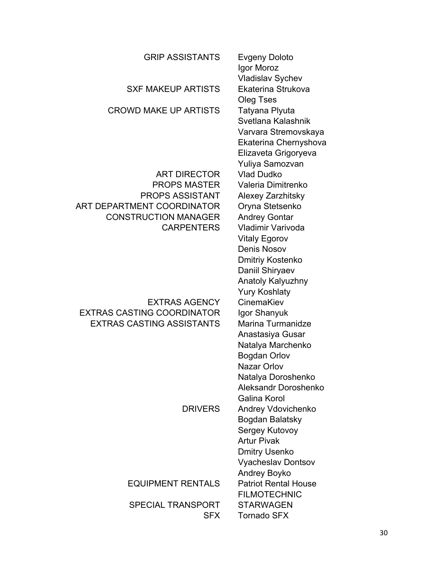| <b>GRIP ASSISTANTS</b>                                    | <b>Evgeny Doloto</b><br>Igor Moroz<br><b>Vladislav Sychev</b>                                                                    |
|-----------------------------------------------------------|----------------------------------------------------------------------------------------------------------------------------------|
| <b>SXF MAKEUP ARTISTS</b>                                 | Ekaterina Strukova<br>Oleg Tses                                                                                                  |
| <b>CROWD MAKE UP ARTISTS</b>                              | Tatyana Plyuta<br>Svetlana Kalashnik<br>Varvara Stremovskaya<br>Ekaterina Chernyshova<br>Elizaveta Grigoryeva<br>Yuliya Samozvan |
| <b>ART DIRECTOR</b>                                       | <b>Vlad Dudko</b>                                                                                                                |
| <b>PROPS MASTER</b>                                       | Valeria Dimitrenko                                                                                                               |
| <b>PROPS ASSISTANT</b>                                    | Alexey Zarzhitsky                                                                                                                |
| ART DEPARTMENT COORDINATOR<br><b>CONSTRUCTION MANAGER</b> | Oryna Stetsenko<br><b>Andrey Gontar</b>                                                                                          |
| <b>CARPENTERS</b>                                         | Vladimir Varivoda                                                                                                                |
|                                                           | <b>Vitaly Egorov</b>                                                                                                             |
|                                                           | <b>Denis Nosov</b>                                                                                                               |
|                                                           | Dmitriy Kostenko                                                                                                                 |
|                                                           | Daniil Shiryaev                                                                                                                  |
|                                                           | <b>Anatoly Kalyuzhny</b>                                                                                                         |
|                                                           | <b>Yury Koshlaty</b>                                                                                                             |
| <b>EXTRAS AGENCY</b><br><b>EXTRAS CASTING COORDINATOR</b> | CinemaKiev                                                                                                                       |
| <b>EXTRAS CASTING ASSISTANTS</b>                          | Igor Shanyuk<br>Marina Turmanidze                                                                                                |
|                                                           | Anastasiya Gusar                                                                                                                 |
|                                                           | Natalya Marchenko                                                                                                                |
|                                                           | <b>Bogdan Orlov</b>                                                                                                              |
|                                                           | <b>Nazar Orlov</b>                                                                                                               |
|                                                           | Natalya Doroshenko                                                                                                               |
|                                                           | Aleksandr Doroshenko                                                                                                             |
|                                                           | Galina Korol                                                                                                                     |
| <b>DRIVERS</b>                                            | Andrey Vdovichenko                                                                                                               |
|                                                           | Bogdan Balatsky                                                                                                                  |
|                                                           | Sergey Kutovoy<br><b>Artur Pivak</b>                                                                                             |
|                                                           | <b>Dmitry Usenko</b>                                                                                                             |
|                                                           | <b>Vyacheslav Dontsov</b>                                                                                                        |
|                                                           | Andrey Boyko                                                                                                                     |
| <b>EQUIPMENT RENTALS</b>                                  | <b>Patriot Rental House</b>                                                                                                      |
|                                                           | <b>FILMOTECHNIC</b>                                                                                                              |
| <b>SPECIAL TRANSPORT</b>                                  | <b>STARWAGEN</b>                                                                                                                 |
| <b>SFX</b>                                                | <b>Tornado SFX</b>                                                                                                               |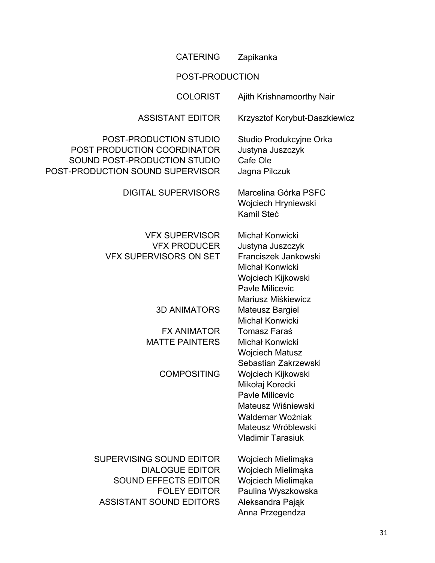| <b>CATERING</b>                                                                                                                            | Zapikanka                                                                                                                                            |  |
|--------------------------------------------------------------------------------------------------------------------------------------------|------------------------------------------------------------------------------------------------------------------------------------------------------|--|
| POST-PRODUCTION                                                                                                                            |                                                                                                                                                      |  |
| <b>COLORIST</b>                                                                                                                            | Ajith Krishnamoorthy Nair                                                                                                                            |  |
| <b>ASSISTANT EDITOR</b>                                                                                                                    | Krzysztof Korybut-Daszkiewicz                                                                                                                        |  |
| POST-PRODUCTION STUDIO<br>POST PRODUCTION COORDINATOR<br>SOUND POST-PRODUCTION STUDIO<br>POST-PRODUCTION SOUND SUPERVISOR                  | Studio Produkcyjne Orka<br>Justyna Juszczyk<br>Cafe Ole<br>Jagna Pilczuk                                                                             |  |
| <b>DIGITAL SUPERVISORS</b>                                                                                                                 | Marcelina Górka PSFC<br>Wojciech Hryniewski<br>Kamil Steć                                                                                            |  |
| <b>VFX SUPERVISOR</b><br><b>VFX PRODUCER</b><br><b>VFX SUPERVISORS ON SET</b>                                                              | Michał Konwicki<br>Justyna Juszczyk<br>Franciszek Jankowski<br>Michał Konwicki<br>Wojciech Kijkowski<br><b>Pavle Milicevic</b><br>Mariusz Miśkiewicz |  |
| <b>3D ANIMATORS</b>                                                                                                                        | <b>Mateusz Bargiel</b><br>Michał Konwicki                                                                                                            |  |
| <b>FX ANIMATOR</b><br><b>MATTE PAINTERS</b>                                                                                                | <b>Tomasz Faraś</b><br>Michał Konwicki<br><b>Wojciech Matusz</b><br>Sebastian Zakrzewski                                                             |  |
| <b>COMPOSITING</b>                                                                                                                         | Wojciech Kijkowski<br>Mikołaj Korecki<br>Pavle Milicevic<br>Mateusz Wiśniewski<br>Waldemar Woźniak<br>Mateusz Wróblewski<br><b>Vladimir Tarasiuk</b> |  |
| SUPERVISING SOUND EDITOR<br><b>DIALOGUE EDITOR</b><br><b>SOUND EFFECTS EDITOR</b><br><b>FOLEY EDITOR</b><br><b>ASSISTANT SOUND EDITORS</b> | Wojciech Mielimąka<br>Wojciech Mielimąka<br>Wojciech Mielimąka<br>Paulina Wyszkowska<br>Aleksandra Pająk<br>Anna Przegendza                          |  |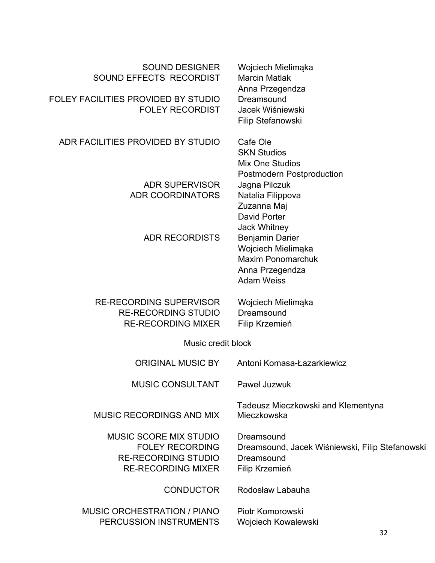| <b>SOUND DESIGNER</b><br>SOUND EFFECTS RECORDIST<br>FOLEY FACILITIES PROVIDED BY STUDIO<br><b>FOLEY RECORDIST</b>  | Wojciech Mielimąka<br><b>Marcin Matlak</b><br>Anna Przegendza<br>Dreamsound<br>Jacek Wiśniewski<br><b>Filip Stefanowski</b>  |  |
|--------------------------------------------------------------------------------------------------------------------|------------------------------------------------------------------------------------------------------------------------------|--|
| ADR FACILITIES PROVIDED BY STUDIO                                                                                  | Cafe Ole<br><b>SKN Studios</b><br><b>Mix One Studios</b>                                                                     |  |
| <b>ADR SUPERVISOR</b><br><b>ADR COORDINATORS</b>                                                                   | <b>Postmodern Postproduction</b><br>Jagna Pilczuk<br>Natalia Filippova<br>Zuzanna Maj<br>David Porter<br><b>Jack Whitney</b> |  |
| <b>ADR RECORDISTS</b>                                                                                              | Benjamin Darier<br>Wojciech Mielimąka<br><b>Maxim Ponomarchuk</b><br>Anna Przegendza<br><b>Adam Weiss</b>                    |  |
| <b>RE-RECORDING SUPERVISOR</b><br><b>RE-RECORDING STUDIO</b><br><b>RE-RECORDING MIXER</b>                          | Wojciech Mielimąka<br>Dreamsound<br>Filip Krzemień                                                                           |  |
| Music credit block                                                                                                 |                                                                                                                              |  |
| <b>ORIGINAL MUSIC BY</b>                                                                                           | Antoni Komasa-Łazarkiewicz                                                                                                   |  |
| <b>MUSIC CONSULTANT</b>                                                                                            | Paweł Juzwuk                                                                                                                 |  |
| <b>MUSIC RECORDINGS AND MIX</b>                                                                                    | Tadeusz Mieczkowski and Klementyna<br>Mieczkowska                                                                            |  |
| <b>MUSIC SCORE MIX STUDIO</b><br><b>FOLEY RECORDING</b><br><b>RE-RECORDING STUDIO</b><br><b>RE-RECORDING MIXER</b> | Dreamsound<br>Dreamsound, Jacek Wiśniewski, Filip Stefanowski<br>Dreamsound<br>Filip Krzemień                                |  |
| <b>CONDUCTOR</b>                                                                                                   | Rodosław Labauha                                                                                                             |  |
| <b>MUSIC ORCHESTRATION / PIANO</b><br>PERCUSSION INSTRUMENTS                                                       | Piotr Komorowski<br>Wojciech Kowalewski<br>າາ                                                                                |  |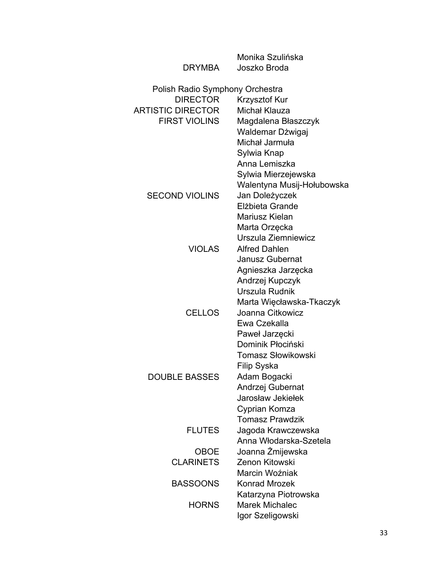|                                 | Monika Szulińska                        |
|---------------------------------|-----------------------------------------|
| <b>DRYMBA</b>                   | Joszko Broda                            |
| Polish Radio Symphony Orchestra |                                         |
| <b>DIRECTOR</b>                 | Krzysztof Kur                           |
| <b>ARTISTIC DIRECTOR</b>        | Michał Klauza                           |
| <b>FIRST VIOLINS</b>            | Magdalena Błaszczyk                     |
|                                 | Waldemar Dżwigaj                        |
|                                 | Michał Jarmuła                          |
|                                 | Sylwia Knap                             |
|                                 | Anna Lemiszka                           |
|                                 | Sylwia Mierzejewska                     |
|                                 | Walentyna Musij-Hołubowska              |
| <b>SECOND VIOLINS</b>           | Jan Doleżyczek                          |
|                                 | Elżbieta Grande                         |
|                                 | Mariusz Kielan                          |
|                                 | Marta Orzęcka                           |
|                                 | Urszula Ziemniewicz                     |
| <b>VIOLAS</b>                   | <b>Alfred Dahlen</b>                    |
|                                 | <b>Janusz Gubernat</b>                  |
|                                 | Agnieszka Jarzęcka                      |
|                                 | Andrzej Kupczyk                         |
|                                 | Urszula Rudnik                          |
|                                 | Marta Więcławska-Tkaczyk                |
| <b>CELLOS</b>                   | Joanna Citkowicz                        |
|                                 | Ewa Czekalla                            |
|                                 | Paweł Jarzęcki                          |
|                                 | Dominik Płociński                       |
|                                 | <b>Tomasz Słowikowski</b>               |
|                                 | Filip Syska                             |
| <b>DOUBLE BASSES</b>            | Adam Bogacki                            |
|                                 | Andrzej Gubernat<br>Jarosław Jekiełek   |
|                                 |                                         |
|                                 | Cyprian Komza<br><b>Tomasz Prawdzik</b> |
| <b>FLUTES</b>                   | Jagoda Krawczewska                      |
|                                 | Anna Włodarska-Szetela                  |
| OBOE                            | Joanna Żmijewska                        |
| <b>CLARINETS</b>                | Zenon Kitowski                          |
|                                 | Marcin Woźniak                          |
| <b>BASSOONS</b>                 | <b>Konrad Mrozek</b>                    |
|                                 | Katarzyna Piotrowska                    |
| <b>HORNS</b>                    | <b>Marek Michalec</b>                   |
|                                 | Igor Szeligowski                        |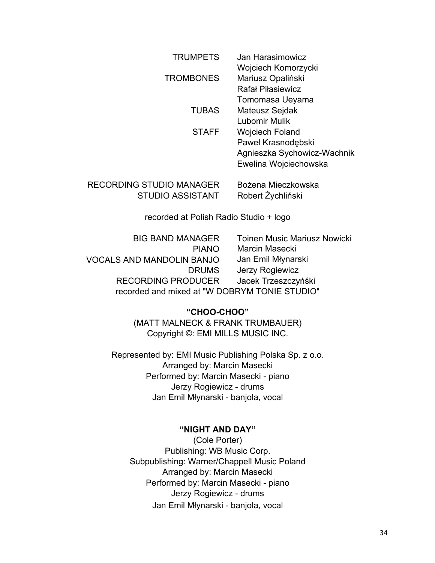| <b>TRUMPETS</b>  | Jan Harasimowicz            |
|------------------|-----------------------------|
|                  | Wojciech Komorzycki         |
| <b>TROMBONES</b> | Mariusz Opaliński           |
|                  | <b>Rafał Piłasiewicz</b>    |
|                  | Tomomasa Ueyama             |
| <b>TUBAS</b>     | <b>Mateusz Sejdak</b>       |
|                  | Lubomir Mulik               |
| <b>STAFF</b>     | <b>Wojciech Foland</b>      |
|                  | Paweł Krasnodębski          |
|                  | Agnieszka Sychowicz-Wachnik |
|                  | Ewelina Wojciechowska       |

RECORDING STUDIO MANAGER Bożena Mieczkowska STUDIO ASSISTANT Robert Żychliński

recorded at Polish Radio Studio + logo

| <b>BIG BAND MANAGER</b>                       | <b>Toinen Music Mariusz Nowicki</b> |
|-----------------------------------------------|-------------------------------------|
| <b>PIANO</b>                                  | <b>Marcin Masecki</b>               |
| <b>VOCALS AND MANDOLIN BANJO</b>              | Jan Emil Młynarski                  |
| <b>DRUMS</b>                                  | Jerzy Rogiewicz                     |
| <b>RECORDING PRODUCER</b>                     | Jacek Trzeszczyńśki                 |
| recorded and mixed at "W DOBRYM TONIE STUDIO" |                                     |
|                                               |                                     |

## **"CHOO-CHOO"**

(MATT MALNECK & FRANK TRUMBAUER) Copyright ©: EMI MILLS MUSIC INC.

Represented by: EMI Music Publishing Polska Sp. z o.o. Arranged by: Marcin Masecki Performed by: Marcin Masecki - piano Jerzy Rogiewicz - drums Jan Emil Młynarski - banjola, vocal

## **"NIGHT AND DAY"**

(Cole Porter) Publishing: WB Music Corp. Subpublishing: Warner/Chappell Music Poland Arranged by: Marcin Masecki Performed by: Marcin Masecki - piano Jerzy Rogiewicz - drums Jan Emil Młynarski - banjola, vocal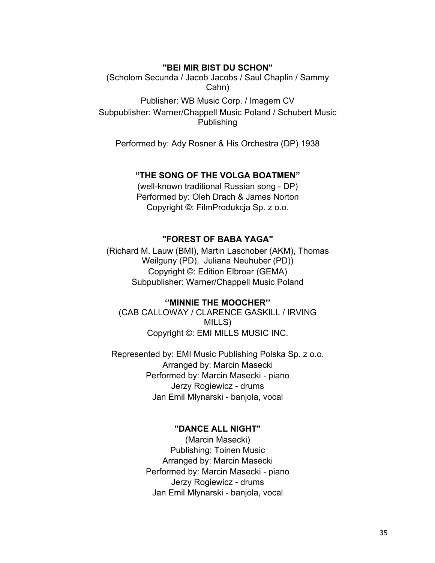## **"BEI MIR BIST DU SCHON"**

(Scholom Secunda / Jacob Jacobs / Saul Chaplin / Sammy Cahn)

Publisher: WB Music Corp. / Imagem CV Subpublisher: Warner/Chappell Music Poland / Schubert Music Publishing

Performed by: Ady Rosner & His Orchestra (DP) 1938

## **"THE SONG OF THE VOLGA BOATMEN"**

(well-known traditional Russian song - DP) Performed by: Oleh Drach & James Norton Copyright ©: FilmProdukcja Sp. z o.o.

# **"FOREST OF BABA YAGA"**

(Richard M. Lauw (BMI), Martin Laschober (AKM), Thomas Weilguny (PD), Juliana Neuhuber (PD)) Copyright ©: Edition Elbroar (GEMA) Subpublisher: Warner/Chappell Music Poland

# **''MINNIE THE MOOCHER''**

(CAB CALLOWAY / CLARENCE GASKILL / IRVING MILLS) Copyright ©: EMI MILLS MUSIC INC.

Represented by: EMI Music Publishing Polska Sp. z o.o. Arranged by: Marcin Masecki Performed by: Marcin Masecki - piano Jerzy Rogiewicz - drums Jan Emil Młynarski - banjola, vocal

### **"DANCE ALL NIGHT"**

(Marcin Masecki) Publishing: Toinen Music Arranged by: Marcin Masecki Performed by: Marcin Masecki - piano Jerzy Rogiewicz - drums Jan Emil Młynarski - banjola, vocal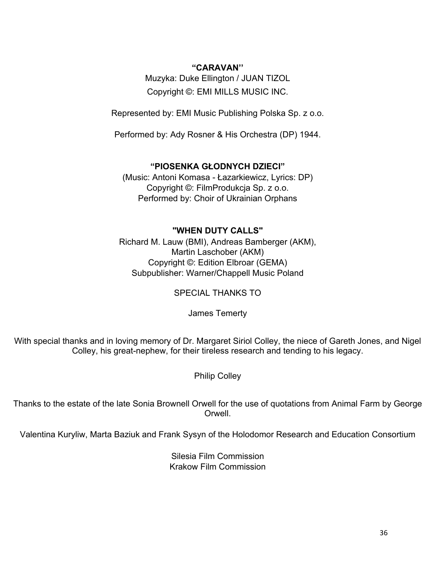# **"CARAVAN''**

Muzyka: Duke Ellington / JUAN TIZOL Copyright ©: EMI MILLS MUSIC INC.

Represented by: EMI Music Publishing Polska Sp. z o.o.

Performed by: Ady Rosner & His Orchestra (DP) 1944.

# **"PIOSENKA GŁODNYCH DZIECI"**

(Music: Antoni Komasa - Łazarkiewicz, Lyrics: DP) Copyright ©: FilmProdukcja Sp. z o.o. Performed by: Choir of Ukrainian Orphans

# **"WHEN DUTY CALLS"**

Richard M. Lauw (BMI), Andreas Bamberger (AKM), Martin Laschober (AKM) Copyright ©: Edition Elbroar (GEMA) Subpublisher: Warner/Chappell Music Poland

SPECIAL THANKS TO

James Temerty

With special thanks and in loving memory of Dr. Margaret Siriol Colley, the niece of Gareth Jones, and Nigel Colley, his great-nephew, for their tireless research and tending to his legacy.

Philip Colley

Thanks to the estate of the late Sonia Brownell Orwell for the use of quotations from Animal Farm by George Orwell.

Valentina Kuryliw, Marta Baziuk and Frank Sysyn of the Holodomor Research and Education Consortium

Silesia Film Commission Krakow Film Commission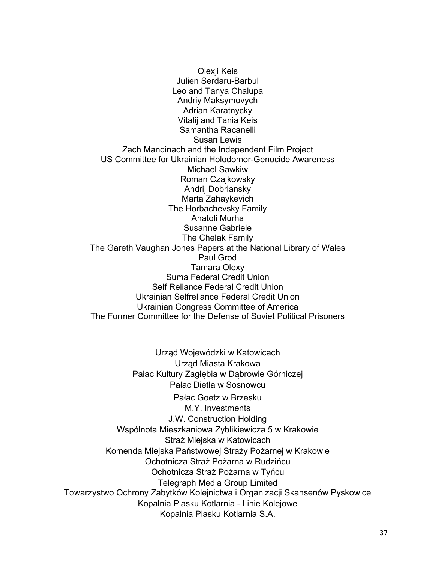Olexji Keis Julien Serdaru-Barbul Leo and Tanya Chalupa Andriy Maksymovych Adrian Karatnycky Vitalij and Tania Keis Samantha Racanelli Susan Lewis Zach Mandinach and the Independent Film Project US Committee for Ukrainian Holodomor-Genocide Awareness Michael Sawkiw Roman Czajkowsky Andrij Dobriansky Marta Zahaykevich The Horbachevsky Family Anatoli Murha Susanne Gabriele The Chelak Family The Gareth Vaughan Jones Papers at the National Library of Wales Paul Grod Tamara Olexy Suma Federal Credit Union Self Reliance Federal Credit Union Ukrainian Selfreliance Federal Credit Union Ukrainian Congress Committee of America The Former Committee for the Defense of Soviet Political Prisoners

Urząd Wojewódzki w Katowicach Urząd Miasta Krakowa Pałac Kultury Zagłębia w Dąbrowie Górniczej Pałac Dietla w Sosnowcu Pałac Goetz w Brzesku M.Y. Investments J.W. Construction Holding Wspólnota Mieszkaniowa Zyblikiewicza 5 w Krakowie Straż Miejska w Katowicach Komenda Miejska Państwowej Straży Pożarnej w Krakowie Ochotnicza Straż Pożarna w Rudzińcu Ochotnicza Straż Pożarna w Tyńcu Telegraph Media Group Limited Towarzystwo Ochrony Zabytków Kolejnictwa i Organizacji Skansenów Pyskowice Kopalnia Piasku Kotlarnia - Linie Kolejowe Kopalnia Piasku Kotlarnia S.A.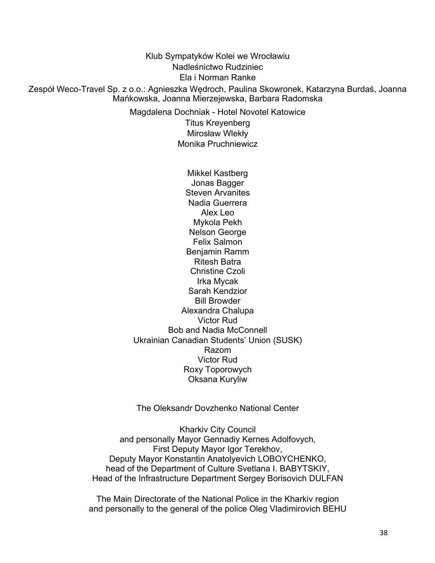Klub Sympatyków Kolei we Wrocławiu Nadleśnictwo Rudziniec Ela i Norman Ranke Zespół Weco-Travel Sp. z o.o.: Agnieszka Wędroch, Paulina Skowronek, Katarzyna Burdaś, Joanna Mańkowska, Joanna Mierzejewska, Barbara Radomska Magdalena Dochniak - Hotel Novotel Katowice

Titus Kreyenberg Mirosław Wlekły Monika Pruchniewicz

Mikkel Kastberg Jonas Bagger Steven Arvanites Nadia Guerrera Alex Leo Mykola Pekh Nelson George Felix Salmon Benjamin Ramm Ritesh Batra Christine Czoli Irka Mycak Sarah Kendzior Bill Browder Alexandra Chalupa Victor Rud Bob and Nadia McConnell Ukrainian Canadian Students' Union (SUSK) Razom Victor Rud Roxy Toporowych Oksana Kuryliw

The Oleksandr Dovzhenko National Center

Kharkiv City Council and personally Mayor Gennadiy Kernes Adolfovych, First Deputy Mayor Igor Terekhov, Deputy Mayor Konstantin Anatolyevich LOBOYCHENKO, head of the Department of Culture Svetlana I. BABYTSKIY, Head of the Infrastructure Department Sergey Borisovich DULFAN

The Main Directorate of the National Police in the Kharkiv region and personally to the general of the police Oleg Vladimirovich BEHU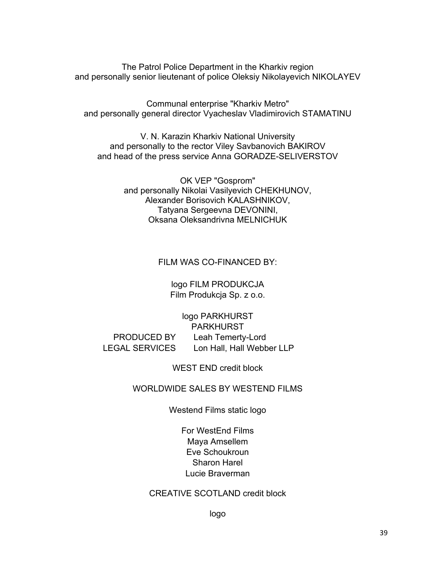The Patrol Police Department in the Kharkiv region and personally senior lieutenant of police Oleksiy Nikolayevich NIKOLAYEV

Communal enterprise "Kharkiv Metro" and personally general director Vyacheslav Vladimirovich STAMATINU

V. N. Karazin Kharkiv National University and personally to the rector Viley Savbanovich BAKIROV and head of the press service Anna GORADZE-SELIVERSTOV

> OK VEP "Gosprom" and personally Nikolai Vasilyevich CHEKHUNOV, Alexander Borisovich KALASHNIKOV, Tatyana Sergeevna DEVONINI, Oksana Oleksandrivna MELNICHUK

> > FILM WAS CO-FINANCED BY:

logo FILM PRODUKCJA Film Produkcja Sp. z o.o.

logo PARKHURST PARKHURST PRODUCED BY Leah Temerty-Lord LEGAL SERVICES Lon Hall, Hall Webber LLP

WEST END credit block

# WORLDWIDE SALES BY WESTEND FILMS

Westend Films static logo

For WestEnd Films Maya Amsellem Eve Schoukroun Sharon Harel Lucie Braverman

# CREATIVE SCOTLAND credit block

logo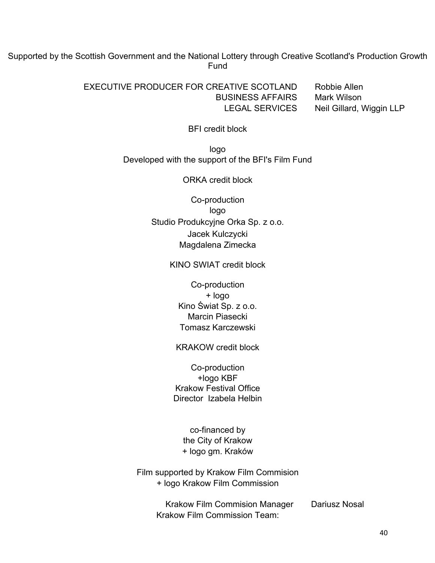Supported by the Scottish Government and the National Lottery through Creative Scotland's Production Growth Fund

> EXECUTIVE PRODUCER FOR CREATIVE SCOTLAND Robbie Allen BUSINESS AFFAIRS Mark Wilson LEGAL SERVICES Neil Gillard, Wiggin LLP

BFI credit block

logo Developed with the support of the BFI's Film Fund

ORKA credit block

Co-production logo Studio Produkcyjne Orka Sp. z o.o. Jacek Kulczycki Magdalena Zimecka

KINO SWIAT credit block

Co-production + logo Kino Świat Sp. z o.o. Marcin Piasecki Tomasz Karczewski

KRAKOW credit block

Co-production +logo KBF Krakow Festival Office Director Izabela Helbin

co-financed by the City of Krakow + logo gm. Kraków

Film supported by Krakow Film Commision + logo Krakow Film Commission

> Krakow Film Commision Manager Dariusz Nosal Krakow Film Commission Team: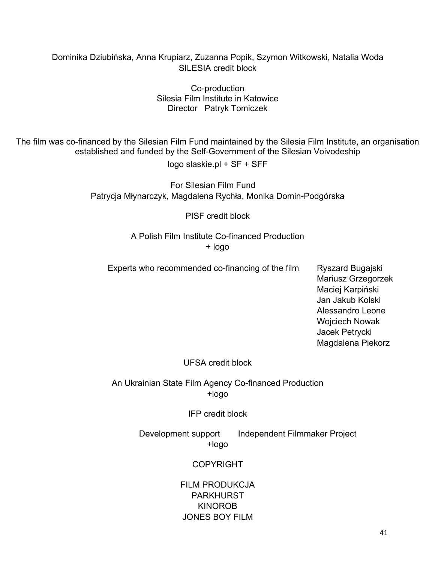# Dominika Dziubińska, Anna Krupiarz, Zuzanna Popik, Szymon Witkowski, Natalia Woda SILESIA credit block

Co-production Silesia Film Institute in Katowice Director Patryk Tomiczek

The film was co-financed by the Silesian Film Fund maintained by the Silesia Film Institute, an organisation established and funded by the Self-Government of the Silesian Voivodeship logo slaskie.pl + SF + SFF

> For Silesian Film Fund Patrycja Młynarczyk, Magdalena Rychła, Monika Domin-Podgórska

> > PISF credit block

A Polish Film Institute Co-financed Production + logo

Experts who recommended co-financing of the film Ryszard Bugajski

Mariusz Grzegorzek Maciej Karpiński Jan Jakub Kolski Alessandro Leone Wojciech Nowak Jacek Petrycki Magdalena Piekorz

# UFSA credit block

An Ukrainian State Film Agency Co-financed Production +logo

IFP credit block

Development support Independent Filmmaker Project +logo

# COPYRIGHT

FILM PRODUKCJA PARKHURST KINOROB JONES BOY FILM